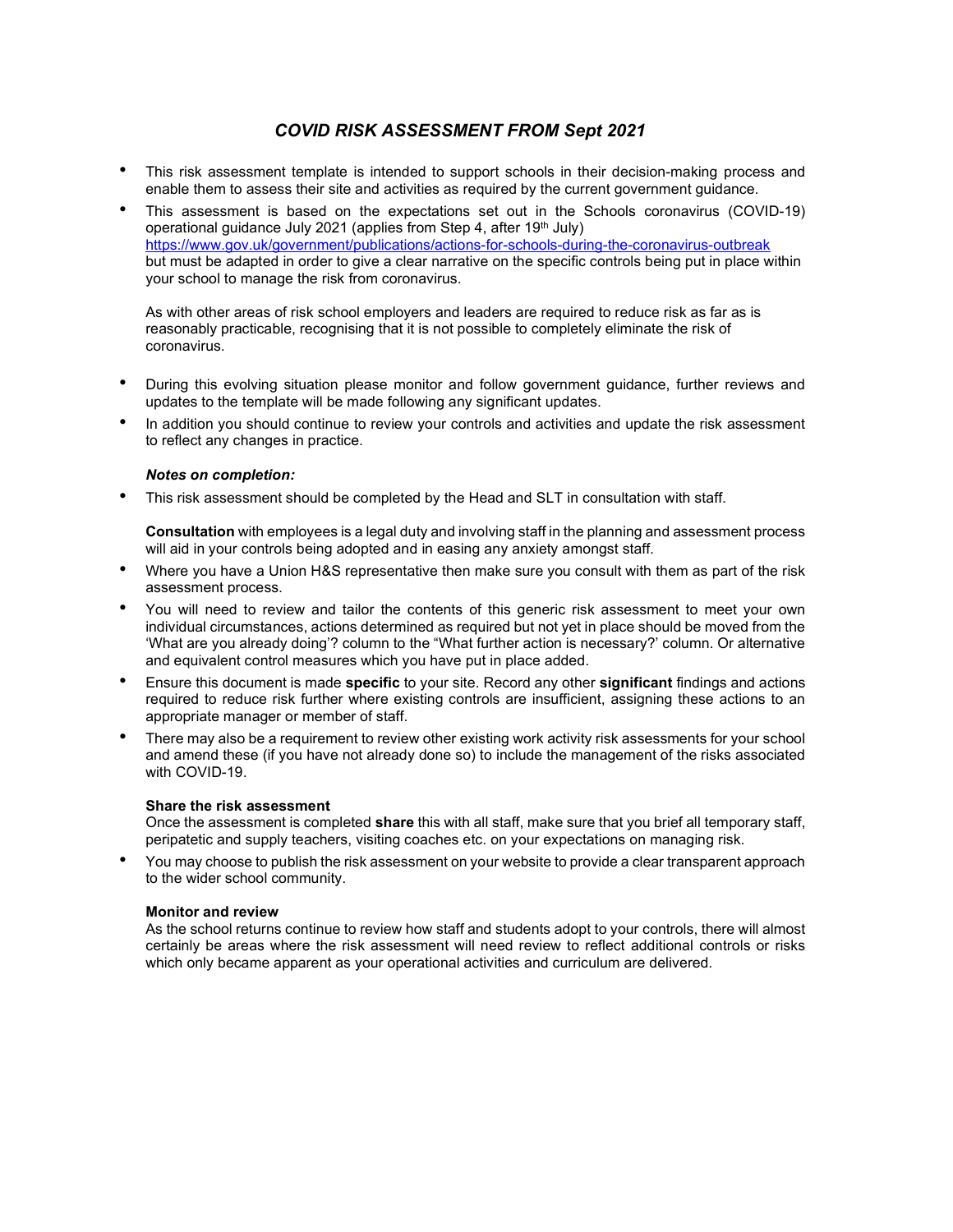# COVID RISK ASSESSMENT FROM Sept 2021

- This risk assessment template is intended to support schools in their decision-making process and enable them to assess their site and activities as required by the current government guidance.
- This assessment is based on the expectations set out in the Schools coronavirus (COVID-19) operational guidance July 2021 (applies from Step 4, after 19<sup>th</sup> July) https://www.gov.uk/government/publications/actions-for-schools-during-the-coronavirus-outbreak but must be adapted in order to give a clear narrative on the specific controls being put in place within your school to manage the risk from coronavirus.

As with other areas of risk school employers and leaders are required to reduce risk as far as is reasonably practicable, recognising that it is not possible to completely eliminate the risk of coronavirus.

- During this evolving situation please monitor and follow government guidance, further reviews and updates to the template will be made following any significant updates.
- In addition you should continue to review your controls and activities and update the risk assessment to reflect any changes in practice.

## Notes on completion:

• This risk assessment should be completed by the Head and SLT in consultation with staff.

Consultation with employees is a legal duty and involving staff in the planning and assessment process will aid in your controls being adopted and in easing any anxiety amongst staff.

- Where you have a Union H&S representative then make sure you consult with them as part of the risk assessment process.
- You will need to review and tailor the contents of this generic risk assessment to meet your own individual circumstances, actions determined as required but not yet in place should be moved from the 'What are you already doing'? column to the "What further action is necessary?' column. Or alternative and equivalent control measures which you have put in place added.
- Ensure this document is made specific to your site. Record any other significant findings and actions required to reduce risk further where existing controls are insufficient, assigning these actions to an appropriate manager or member of staff.
- There may also be a requirement to review other existing work activity risk assessments for your school and amend these (if you have not already done so) to include the management of the risks associated with COVID-19.

# Share the risk assessment

Once the assessment is completed share this with all staff, make sure that you brief all temporary staff, peripatetic and supply teachers, visiting coaches etc. on your expectations on managing risk.

• You may choose to publish the risk assessment on your website to provide a clear transparent approach to the wider school community.

#### Monitor and review

As the school returns continue to review how staff and students adopt to your controls, there will almost certainly be areas where the risk assessment will need review to reflect additional controls or risks which only became apparent as your operational activities and curriculum are delivered.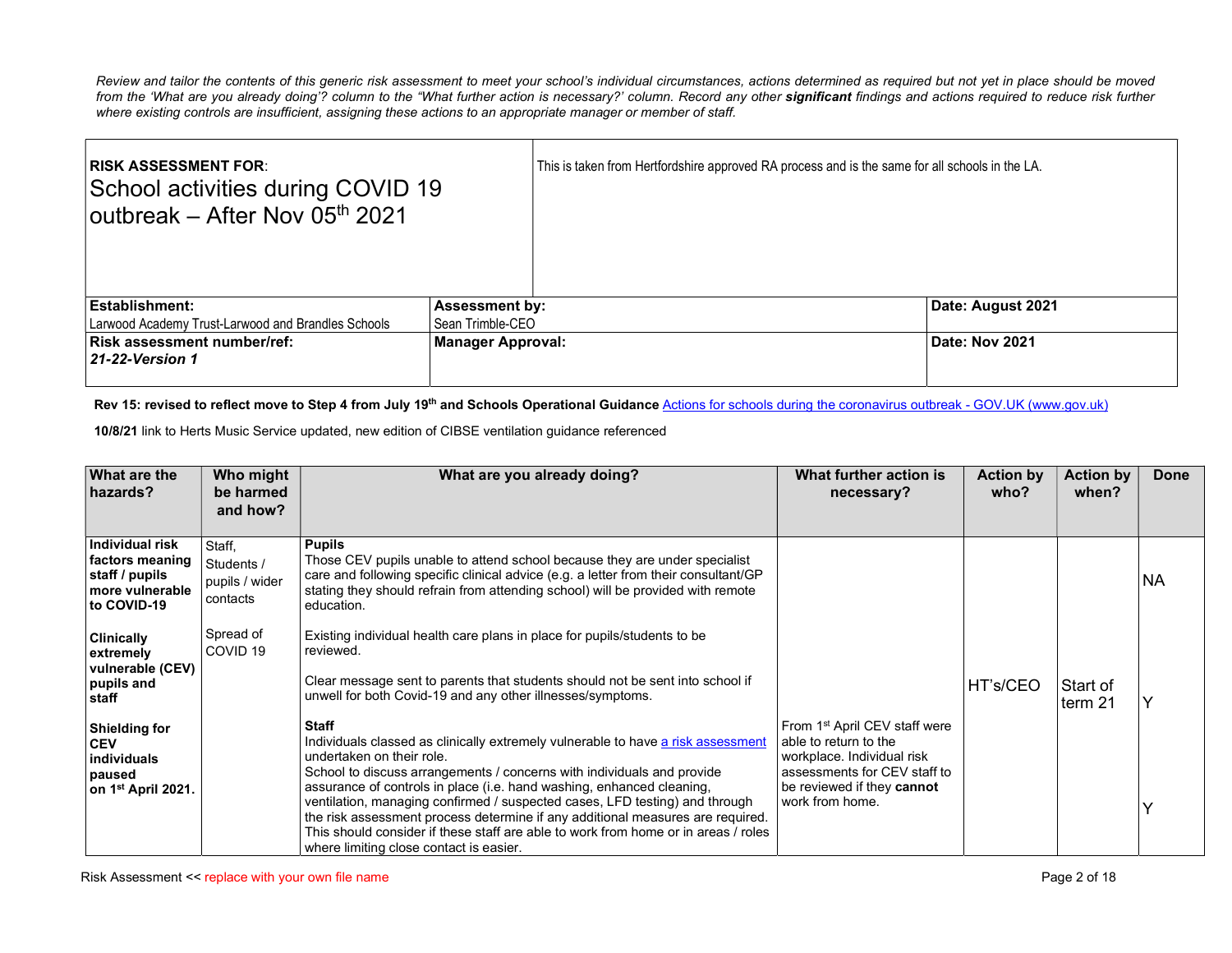Review and tailor the contents of this generic risk assessment to meet your school's individual circumstances, actions determined as required but not yet in place should be moved from the 'What are you already doing'? column to the "What further action is necessary?' column. Record any other significant findings and actions required to reduce risk further where existing controls are insufficient, assigning these actions to an appropriate manager or member of staff.

| <b>RISK ASSESSMENT FOR:</b><br>School activities during COVID 19<br>outbreak – After Nov 05th 2021 |                          | This is taken from Hertfordshire approved RA process and is the same for all schools in the LA. |                   |
|----------------------------------------------------------------------------------------------------|--------------------------|-------------------------------------------------------------------------------------------------|-------------------|
| Establishment:                                                                                     | <b>Assessment by:</b>    |                                                                                                 | Date: August 2021 |
| Larwood Academy Trust-Larwood and Brandles Schools                                                 | Sean Trimble-CEO         |                                                                                                 |                   |
| <b>Risk assessment number/ref:</b><br><b>21-22-Version 1</b>                                       | <b>Manager Approval:</b> |                                                                                                 | Date: Nov 2021    |

## Rev 15: revised to reflect move to Step 4 from July 19<sup>th</sup> and Schools Operational Guidance Actions for schools during the coronavirus outbreak - GOV.UK (www.gov.uk)

10/8/21 link to Herts Music Service updated, new edition of CIBSE ventilation guidance referenced

| What are the<br>hazards?                                                                      | Who might<br>be harmed<br>and how?                 | What are you already doing?                                                                                                                                                                                                                                                                                                                                                                                                                                                                                                                                                 | What further action is<br>necessary?                                                                                                                                              | <b>Action by</b><br>who? | <b>Action by</b><br>when? | Done |
|-----------------------------------------------------------------------------------------------|----------------------------------------------------|-----------------------------------------------------------------------------------------------------------------------------------------------------------------------------------------------------------------------------------------------------------------------------------------------------------------------------------------------------------------------------------------------------------------------------------------------------------------------------------------------------------------------------------------------------------------------------|-----------------------------------------------------------------------------------------------------------------------------------------------------------------------------------|--------------------------|---------------------------|------|
| Individual risk<br>factors meaning<br>staff / pupils<br>more vulnerable<br>to COVID-19        | Staff.<br>Students /<br>pupils / wider<br>contacts | <b>Pupils</b><br>Those CEV pupils unable to attend school because they are under specialist<br>care and following specific clinical advice (e.g. a letter from their consultant/GP<br>stating they should refrain from attending school) will be provided with remote<br>education.                                                                                                                                                                                                                                                                                         |                                                                                                                                                                                   |                          |                           | NA.  |
| <b>Clinically</b><br>extremely<br>vulnerable (CEV)<br>pupils and<br>staff                     | Spread of<br>COVID <sub>19</sub>                   | Existing individual health care plans in place for pupils/students to be<br>reviewed.<br>Clear message sent to parents that students should not be sent into school if<br>unwell for both Covid-19 and any other illnesses/symptoms.                                                                                                                                                                                                                                                                                                                                        |                                                                                                                                                                                   | HT's/CEO                 | Start of<br>term 21       |      |
| <b>Shielding for</b><br><b>CEV</b><br>individuals<br>paused<br>on 1 <sup>st</sup> April 2021. |                                                    | Staff<br>Individuals classed as clinically extremely vulnerable to have a risk assessment<br>undertaken on their role.<br>School to discuss arrangements / concerns with individuals and provide<br>assurance of controls in place (i.e. hand washing, enhanced cleaning,<br>ventilation, managing confirmed / suspected cases, LFD testing) and through<br>the risk assessment process determine if any additional measures are required.<br>This should consider if these staff are able to work from home or in areas / roles<br>where limiting close contact is easier. | From 1 <sup>st</sup> April CEV staff were<br>able to return to the<br>workplace. Individual risk<br>assessments for CEV staff to<br>be reviewed if they cannot<br>work from home. |                          |                           |      |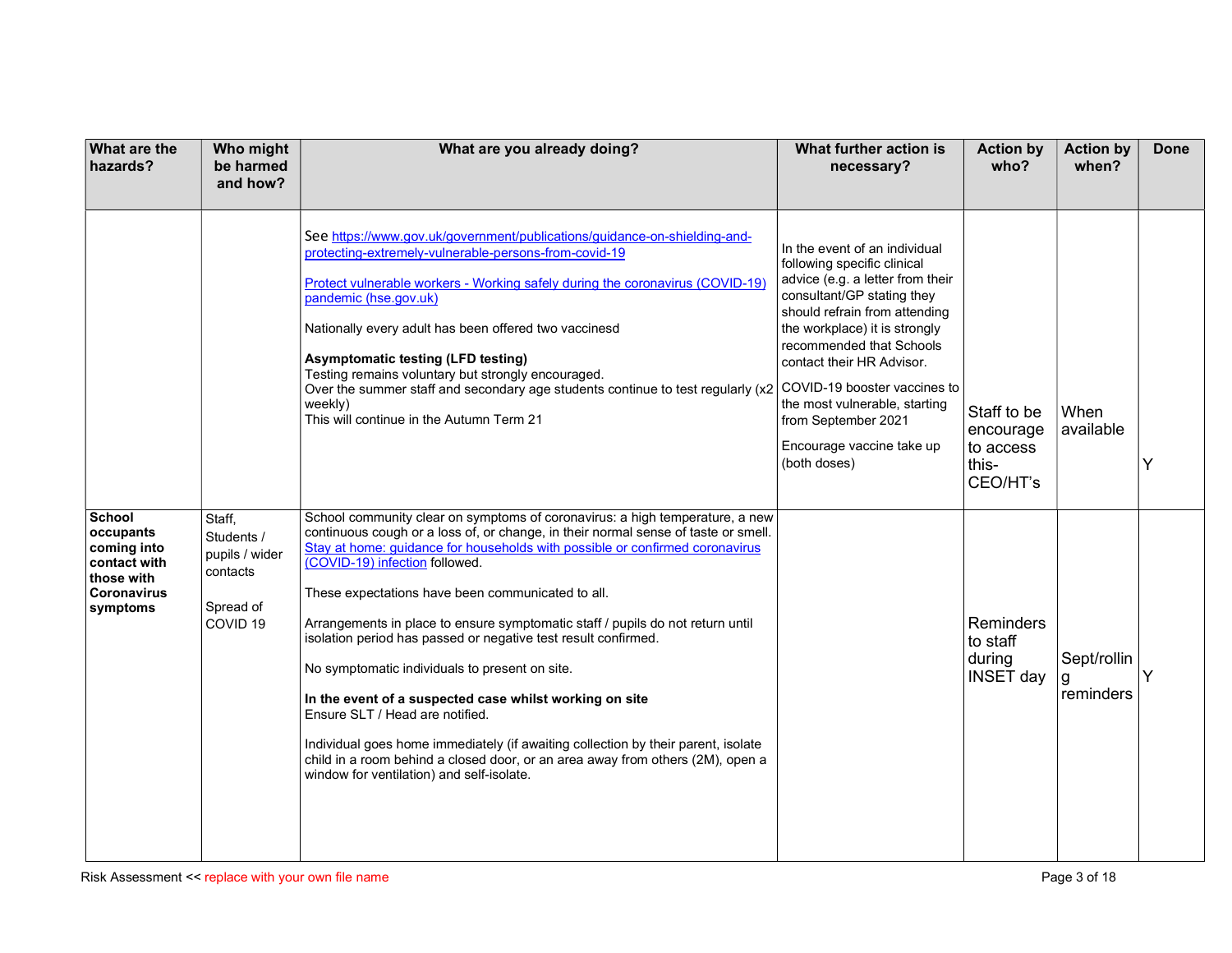| <b>What are the</b><br>hazards?                                                                    | Who might<br>be harmed<br>and how?                                                     | What are you already doing?                                                                                                                                                                                                                                                                                                                                                                                                                                                                                                                                                                                                                                                                                                                                                                                                                                       | What further action is<br>necessary?                                                                                                                                                                                                                                                                                                                                                           | <b>Action by</b><br>who?                                   | <b>Action by</b><br>when?     | <b>Done</b> |
|----------------------------------------------------------------------------------------------------|----------------------------------------------------------------------------------------|-------------------------------------------------------------------------------------------------------------------------------------------------------------------------------------------------------------------------------------------------------------------------------------------------------------------------------------------------------------------------------------------------------------------------------------------------------------------------------------------------------------------------------------------------------------------------------------------------------------------------------------------------------------------------------------------------------------------------------------------------------------------------------------------------------------------------------------------------------------------|------------------------------------------------------------------------------------------------------------------------------------------------------------------------------------------------------------------------------------------------------------------------------------------------------------------------------------------------------------------------------------------------|------------------------------------------------------------|-------------------------------|-------------|
|                                                                                                    |                                                                                        | See https://www.gov.uk/government/publications/guidance-on-shielding-and-<br>protecting-extremely-vulnerable-persons-from-covid-19<br>Protect vulnerable workers - Working safely during the coronavirus (COVID-19)<br>pandemic (hse.gov.uk)<br>Nationally every adult has been offered two vaccinesd<br><b>Asymptomatic testing (LFD testing)</b><br>Testing remains voluntary but strongly encouraged.<br>Over the summer staff and secondary age students continue to test regularly (x2<br>weekly)<br>This will continue in the Autumn Term 21                                                                                                                                                                                                                                                                                                                | In the event of an individual<br>following specific clinical<br>advice (e.g. a letter from their<br>consultant/GP stating they<br>should refrain from attending<br>the workplace) it is strongly<br>recommended that Schools<br>contact their HR Advisor.<br>COVID-19 booster vaccines to<br>the most vulnerable, starting<br>from September 2021<br>Encourage vaccine take up<br>(both doses) | Staff to be<br>encourage<br>to access<br>this-<br>CEO/HT's | When<br>available             |             |
| <b>School</b><br>occupants<br>coming into<br>contact with<br>those with<br>Coronavirus<br>symptoms | Staff,<br>Students /<br>pupils / wider<br>contacts<br>Spread of<br>COVID <sub>19</sub> | School community clear on symptoms of coronavirus: a high temperature, a new<br>continuous cough or a loss of, or change, in their normal sense of taste or smell.<br>Stay at home: guidance for households with possible or confirmed coronavirus<br>(COVID-19) infection followed.<br>These expectations have been communicated to all.<br>Arrangements in place to ensure symptomatic staff / pupils do not return until<br>isolation period has passed or negative test result confirmed.<br>No symptomatic individuals to present on site.<br>In the event of a suspected case whilst working on site<br>Ensure SLT / Head are notified.<br>Individual goes home immediately (if awaiting collection by their parent, isolate<br>child in a room behind a closed door, or an area away from others (2M), open a<br>window for ventilation) and self-isolate. |                                                                                                                                                                                                                                                                                                                                                                                                | <b>Reminders</b><br>to staff<br>during<br><b>INSET day</b> | Sept/rollin<br>g<br>reminders |             |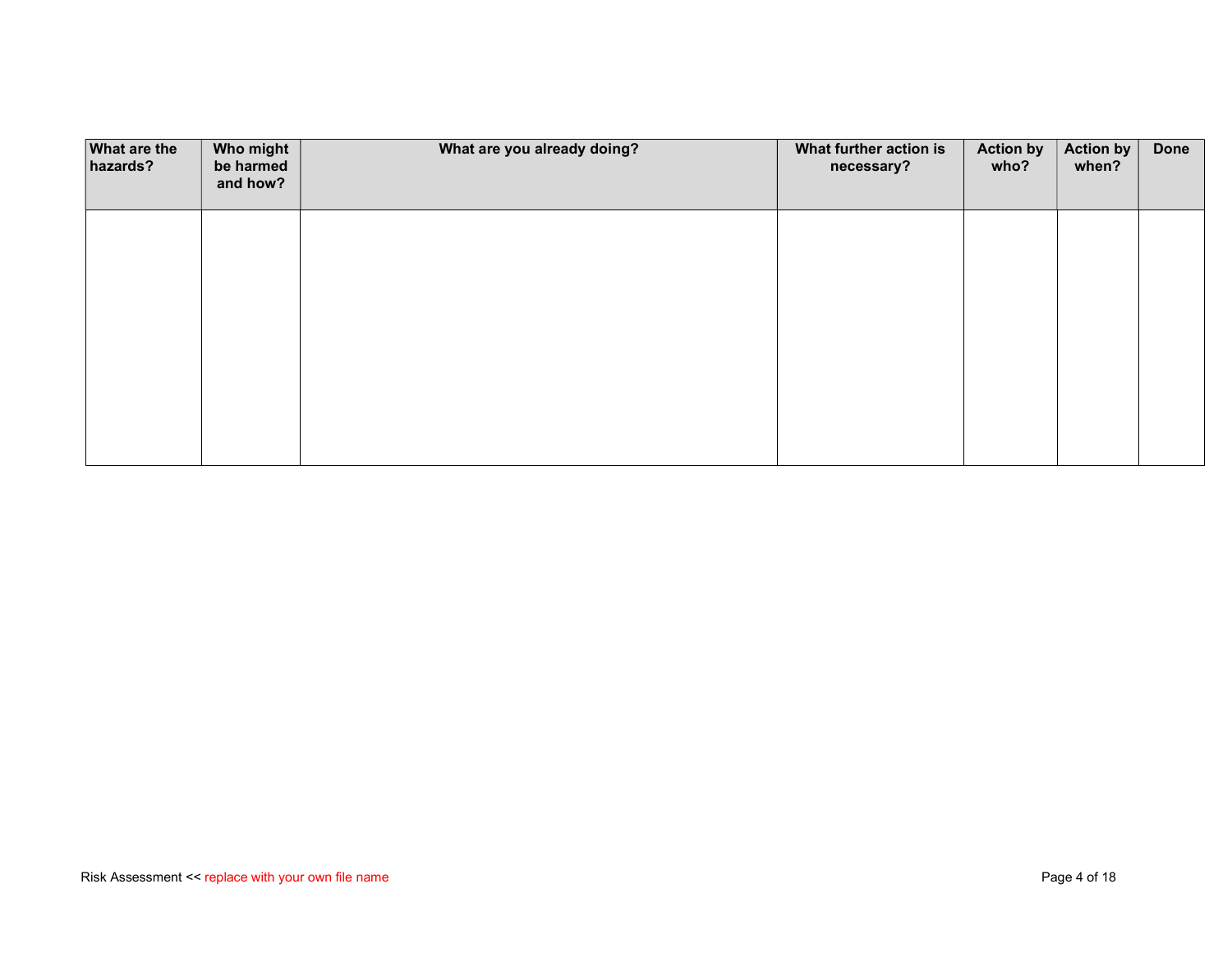| <b>What are the</b><br>hazards? | Who might<br>be harmed<br>and how? | What are you already doing? | What further action is<br>necessary? | <b>Action by</b><br>who? | <b>Action by</b><br>when? | <b>Done</b> |
|---------------------------------|------------------------------------|-----------------------------|--------------------------------------|--------------------------|---------------------------|-------------|
|                                 |                                    |                             |                                      |                          |                           |             |
|                                 |                                    |                             |                                      |                          |                           |             |
|                                 |                                    |                             |                                      |                          |                           |             |
|                                 |                                    |                             |                                      |                          |                           |             |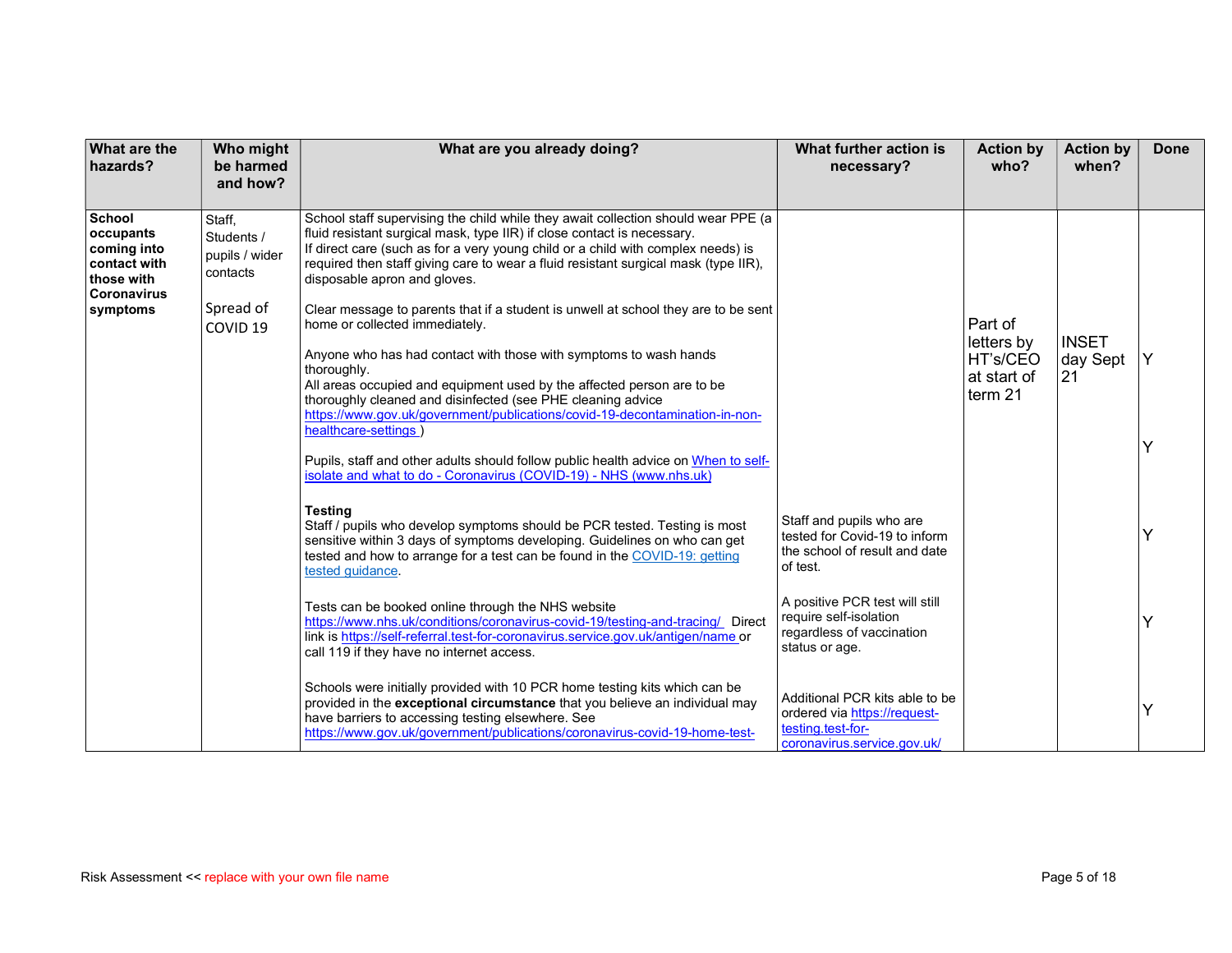| <b>What are the</b><br>hazards?                                                        | Who might<br>be harmed<br>and how?                 | What are you already doing?                                                                                                                                                                                                                                                                                                                                             | What further action is<br>necessary?                                                                               | <b>Action by</b><br>who?                                    | <b>Action by</b><br>when?      | <b>Done</b> |
|----------------------------------------------------------------------------------------|----------------------------------------------------|-------------------------------------------------------------------------------------------------------------------------------------------------------------------------------------------------------------------------------------------------------------------------------------------------------------------------------------------------------------------------|--------------------------------------------------------------------------------------------------------------------|-------------------------------------------------------------|--------------------------------|-------------|
| School<br>occupants<br>coming into<br>contact with<br>those with<br><b>Coronavirus</b> | Staff,<br>Students /<br>pupils / wider<br>contacts | School staff supervising the child while they await collection should wear PPE (a<br>fluid resistant surgical mask, type IIR) if close contact is necessary.<br>If direct care (such as for a very young child or a child with complex needs) is<br>required then staff giving care to wear a fluid resistant surgical mask (type IIR),<br>disposable apron and gloves. |                                                                                                                    |                                                             |                                |             |
| symptoms                                                                               | Spread of<br>COVID <sub>19</sub>                   | Clear message to parents that if a student is unwell at school they are to be sent<br>home or collected immediately.<br>Anyone who has had contact with those with symptoms to wash hands<br>thoroughly.<br>All areas occupied and equipment used by the affected person are to be<br>thoroughly cleaned and disinfected (see PHE cleaning advice                       |                                                                                                                    | Part of<br>letters by<br>HT's/CEO<br>at start of<br>term 21 | <b>INSET</b><br>day Sept<br>21 | Y           |
|                                                                                        |                                                    | https://www.gov.uk/government/publications/covid-19-decontamination-in-non-<br>healthcare-settings<br>Pupils, staff and other adults should follow public health advice on When to self-<br>isolate and what to do - Coronavirus (COVID-19) - NHS (www.nhs.uk)                                                                                                          |                                                                                                                    |                                                             |                                |             |
|                                                                                        |                                                    | <b>Testing</b><br>Staff / pupils who develop symptoms should be PCR tested. Testing is most<br>sensitive within 3 days of symptoms developing. Guidelines on who can get<br>tested and how to arrange for a test can be found in the COVID-19: getting<br>tested guidance.                                                                                              | Staff and pupils who are<br>tested for Covid-19 to inform<br>the school of result and date<br>of test.             |                                                             |                                |             |
|                                                                                        |                                                    | Tests can be booked online through the NHS website<br>https://www.nhs.uk/conditions/coronavirus-covid-19/testing-and-tracing/ Direct<br>link is https://self-referral.test-for-coronavirus.service.gov.uk/antigen/name or<br>call 119 if they have no internet access.                                                                                                  | A positive PCR test will still<br>require self-isolation<br>regardless of vaccination<br>status or age.            |                                                             |                                |             |
|                                                                                        |                                                    | Schools were initially provided with 10 PCR home testing kits which can be<br>provided in the exceptional circumstance that you believe an individual may<br>have barriers to accessing testing elsewhere. See<br>https://www.gov.uk/government/publications/coronavirus-covid-19-home-test-                                                                            | Additional PCR kits able to be<br>ordered via https://request-<br>testing.test-for-<br>coronavirus.service.gov.uk/ |                                                             |                                |             |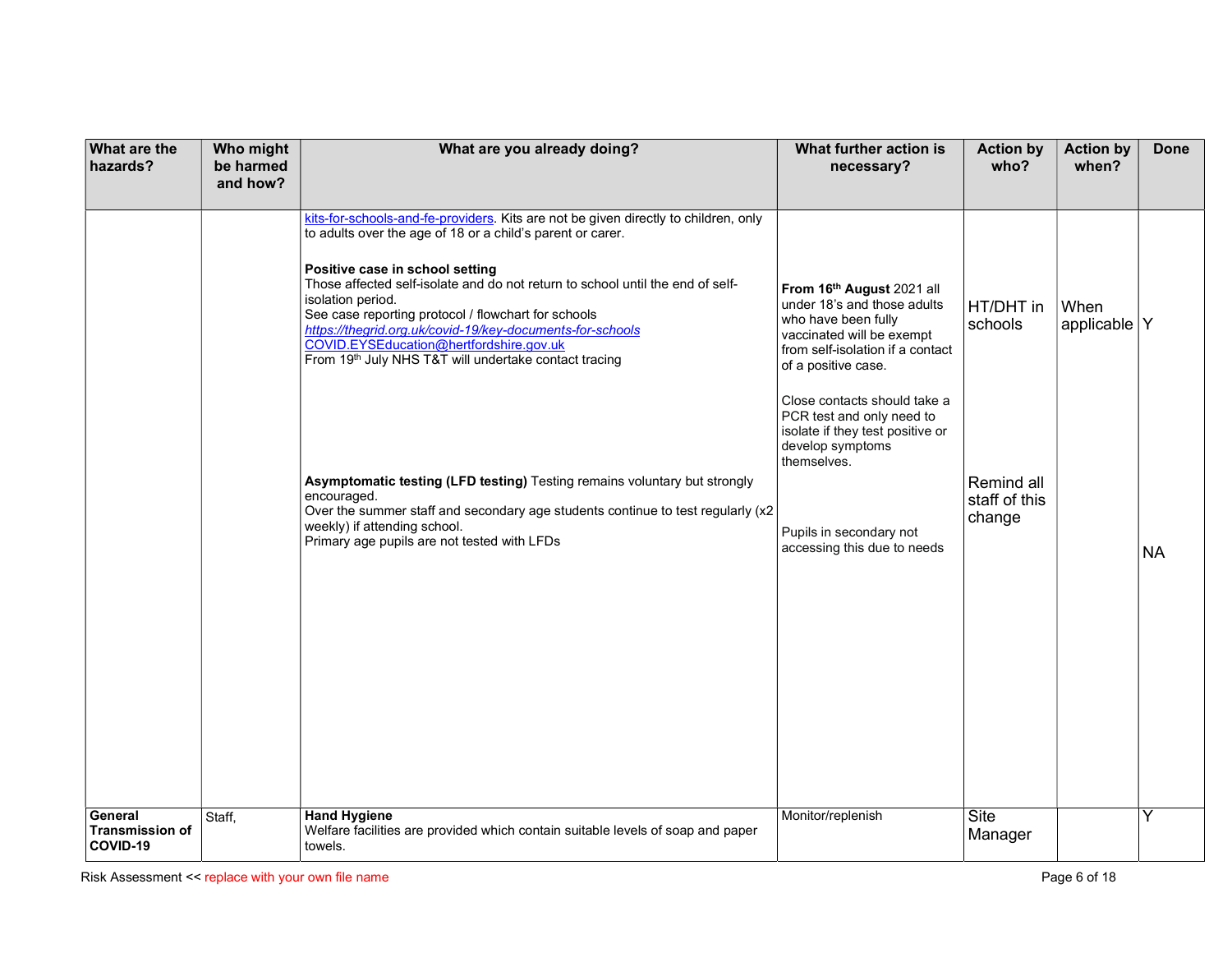| What are the<br>hazards?                      | Who might<br>be harmed<br>and how? | What are you already doing?                                                                                                                                                                                                                                                                                                                                                                                                                                                                                         | What further action is<br>necessary?                                                                                                                                                                                                                                                                        | <b>Action by</b><br>who?              | <b>Action by</b><br>when? | <b>Done</b> |
|-----------------------------------------------|------------------------------------|---------------------------------------------------------------------------------------------------------------------------------------------------------------------------------------------------------------------------------------------------------------------------------------------------------------------------------------------------------------------------------------------------------------------------------------------------------------------------------------------------------------------|-------------------------------------------------------------------------------------------------------------------------------------------------------------------------------------------------------------------------------------------------------------------------------------------------------------|---------------------------------------|---------------------------|-------------|
|                                               |                                    | kits-for-schools-and-fe-providers. Kits are not be given directly to children, only<br>to adults over the age of 18 or a child's parent or carer.<br>Positive case in school setting<br>Those affected self-isolate and do not return to school until the end of self-<br>isolation period.<br>See case reporting protocol / flowchart for schools<br>https://thegrid.org.uk/covid-19/key-documents-for-schools<br>COVID.EYSEducation@hertfordshire.gov.uk<br>From 19th July NHS T&T will undertake contact tracing | From 16th August 2021 all<br>under 18's and those adults<br>who have been fully<br>vaccinated will be exempt<br>from self-isolation if a contact<br>of a positive case.<br>Close contacts should take a<br>PCR test and only need to<br>isolate if they test positive or<br>develop symptoms<br>themselves. | HT/DHT in<br>schools                  | When<br>applicable $ Y $  |             |
|                                               |                                    | Asymptomatic testing (LFD testing) Testing remains voluntary but strongly<br>encouraged.<br>Over the summer staff and secondary age students continue to test regularly (x2<br>weekly) if attending school.<br>Primary age pupils are not tested with LFDs                                                                                                                                                                                                                                                          | Pupils in secondary not<br>accessing this due to needs                                                                                                                                                                                                                                                      | Remind all<br>staff of this<br>change |                           | <b>NA</b>   |
| General<br><b>Transmission of</b><br>COVID-19 | Staff,                             | <b>Hand Hygiene</b><br>Welfare facilities are provided which contain suitable levels of soap and paper<br>towels.                                                                                                                                                                                                                                                                                                                                                                                                   | Monitor/replenish                                                                                                                                                                                                                                                                                           | Site<br>Manager                       |                           | Y           |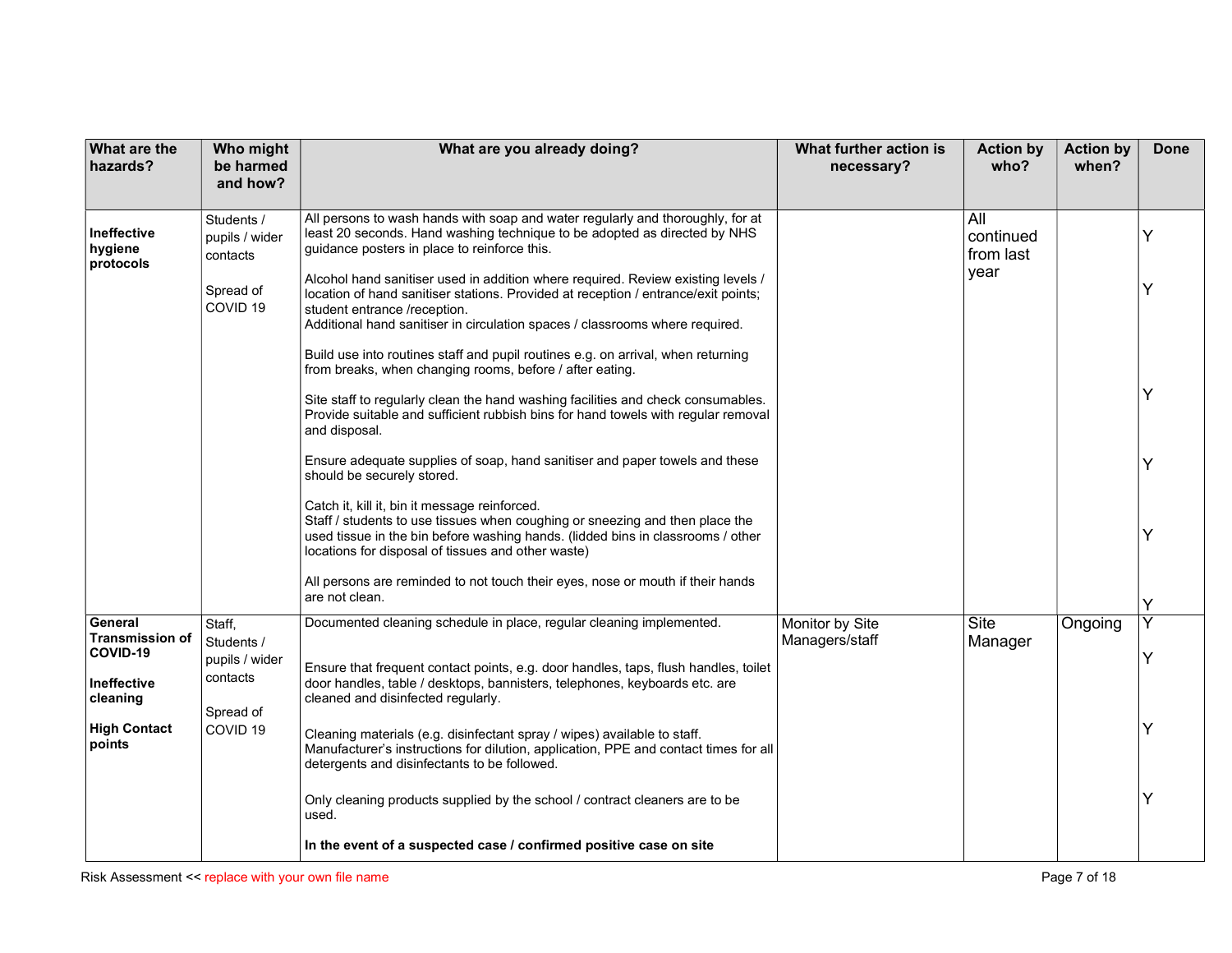| What are the<br>hazards?                                                                                  | Who might<br>be harmed<br>and how?                                                     | What are you already doing?                                                                                                                                                                                                                                                                                                                                                                                                                                                                                                                                                                                                                                                                                                                                                                                                                                                                                                                                                                                                                                                                                                                                                                                                                                                                                              | What further action is<br>necessary? | <b>Action by</b><br>who?              | <b>Action by</b><br>when? | Done                  |
|-----------------------------------------------------------------------------------------------------------|----------------------------------------------------------------------------------------|--------------------------------------------------------------------------------------------------------------------------------------------------------------------------------------------------------------------------------------------------------------------------------------------------------------------------------------------------------------------------------------------------------------------------------------------------------------------------------------------------------------------------------------------------------------------------------------------------------------------------------------------------------------------------------------------------------------------------------------------------------------------------------------------------------------------------------------------------------------------------------------------------------------------------------------------------------------------------------------------------------------------------------------------------------------------------------------------------------------------------------------------------------------------------------------------------------------------------------------------------------------------------------------------------------------------------|--------------------------------------|---------------------------------------|---------------------------|-----------------------|
| <b>Ineffective</b><br>hygiene<br>protocols                                                                | Students /<br>pupils / wider<br>contacts<br>Spread of<br>COVID <sub>19</sub>           | All persons to wash hands with soap and water regularly and thoroughly, for at<br>least 20 seconds. Hand washing technique to be adopted as directed by NHS<br>guidance posters in place to reinforce this.<br>Alcohol hand sanitiser used in addition where required. Review existing levels /<br>location of hand sanitiser stations. Provided at reception / entrance/exit points;<br>student entrance /reception.<br>Additional hand sanitiser in circulation spaces / classrooms where required.<br>Build use into routines staff and pupil routines e.g. on arrival, when returning<br>from breaks, when changing rooms, before / after eating.<br>Site staff to regularly clean the hand washing facilities and check consumables.<br>Provide suitable and sufficient rubbish bins for hand towels with regular removal<br>and disposal.<br>Ensure adequate supplies of soap, hand sanitiser and paper towels and these<br>should be securely stored.<br>Catch it, kill it, bin it message reinforced.<br>Staff / students to use tissues when coughing or sneezing and then place the<br>used tissue in the bin before washing hands. (lidded bins in classrooms / other<br>locations for disposal of tissues and other waste)<br>All persons are reminded to not touch their eyes, nose or mouth if their hands |                                      | All<br>continued<br>from last<br>year |                           | Υ<br>Y<br>Y<br>Y<br>Y |
|                                                                                                           |                                                                                        | are not clean.                                                                                                                                                                                                                                                                                                                                                                                                                                                                                                                                                                                                                                                                                                                                                                                                                                                                                                                                                                                                                                                                                                                                                                                                                                                                                                           |                                      |                                       |                           | Υ                     |
| General<br><b>Transmission of</b><br>COVID-19<br>Ineffective<br>cleaning<br><b>High Contact</b><br>points | Staff,<br>Students /<br>pupils / wider<br>contacts<br>Spread of<br>COVID <sub>19</sub> | Documented cleaning schedule in place, regular cleaning implemented.<br>Ensure that frequent contact points, e.g. door handles, taps, flush handles, toilet<br>door handles, table / desktops, bannisters, telephones, keyboards etc. are<br>cleaned and disinfected regularly.<br>Cleaning materials (e.g. disinfectant spray / wipes) available to staff.<br>Manufacturer's instructions for dilution, application, PPE and contact times for all<br>detergents and disinfectants to be followed.<br>Only cleaning products supplied by the school / contract cleaners are to be<br>used.<br>In the event of a suspected case / confirmed positive case on site                                                                                                                                                                                                                                                                                                                                                                                                                                                                                                                                                                                                                                                        | Monitor by Site<br>Managers/staff    | Site<br>Manager                       | Ongoing                   | Y                     |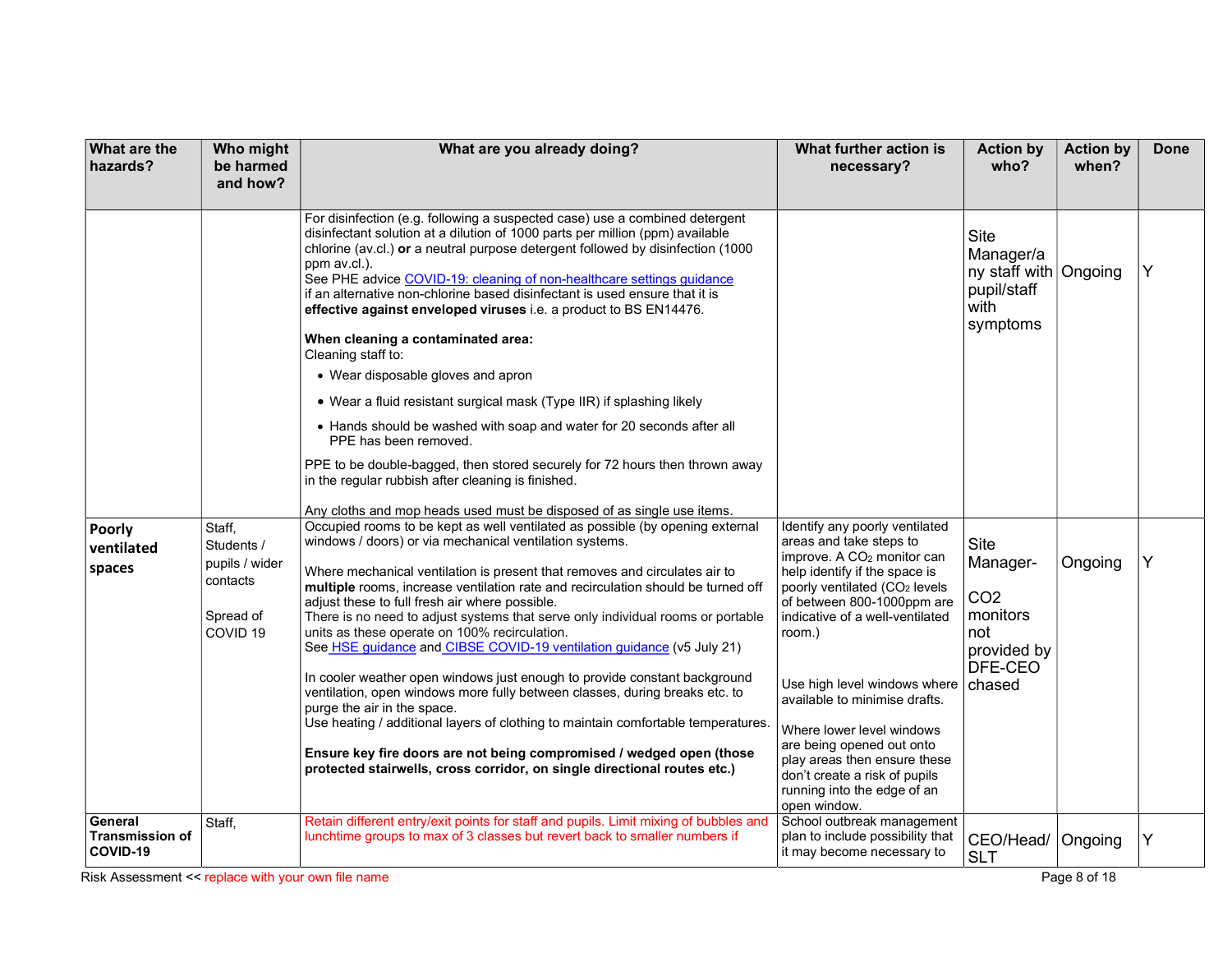| <b>What are the</b><br>hazards?               | Who might<br>be harmed<br>and how?                                                     | What are you already doing?                                                                                                                                                                                                                                                                                                                                                                                                                                                                                                                                                                                                                                                                                                                                                                                                                                                                                                                                                                                   | What further action is<br>necessary?                                                                                                                                                                                                                                                                                                                                                                                                                                                                    | <b>Action by</b><br>who?                                                                   | <b>Action by</b><br>when? | <b>Done</b> |
|-----------------------------------------------|----------------------------------------------------------------------------------------|---------------------------------------------------------------------------------------------------------------------------------------------------------------------------------------------------------------------------------------------------------------------------------------------------------------------------------------------------------------------------------------------------------------------------------------------------------------------------------------------------------------------------------------------------------------------------------------------------------------------------------------------------------------------------------------------------------------------------------------------------------------------------------------------------------------------------------------------------------------------------------------------------------------------------------------------------------------------------------------------------------------|---------------------------------------------------------------------------------------------------------------------------------------------------------------------------------------------------------------------------------------------------------------------------------------------------------------------------------------------------------------------------------------------------------------------------------------------------------------------------------------------------------|--------------------------------------------------------------------------------------------|---------------------------|-------------|
|                                               |                                                                                        | For disinfection (e.g. following a suspected case) use a combined detergent<br>disinfectant solution at a dilution of 1000 parts per million (ppm) available<br>chlorine (av.cl.) or a neutral purpose detergent followed by disinfection (1000<br>ppm av.cl.).<br>See PHE advice COVID-19: cleaning of non-healthcare settings guidance<br>if an alternative non-chlorine based disinfectant is used ensure that it is<br>effective against enveloped viruses i.e. a product to BS EN14476.<br>When cleaning a contaminated area:<br>Cleaning staff to:<br>• Wear disposable gloves and apron<br>• Wear a fluid resistant surgical mask (Type IIR) if splashing likely<br>• Hands should be washed with soap and water for 20 seconds after all<br>PPE has been removed.<br>PPE to be double-bagged, then stored securely for 72 hours then thrown away<br>in the regular rubbish after cleaning is finished.<br>Any cloths and mop heads used must be disposed of as single use items.                      |                                                                                                                                                                                                                                                                                                                                                                                                                                                                                                         | Site<br>Manager/a<br>ny staff with Ongoing<br>pupil/staff<br>with<br>symptoms              |                           | Y           |
| Poorly<br>ventilated<br>spaces                | Staff,<br>Students /<br>pupils / wider<br>contacts<br>Spread of<br>COVID <sub>19</sub> | Occupied rooms to be kept as well ventilated as possible (by opening external<br>windows / doors) or via mechanical ventilation systems.<br>Where mechanical ventilation is present that removes and circulates air to<br>multiple rooms, increase ventilation rate and recirculation should be turned off<br>adjust these to full fresh air where possible.<br>There is no need to adjust systems that serve only individual rooms or portable<br>units as these operate on 100% recirculation.<br>See HSE guidance and CIBSE COVID-19 ventilation guidance (v5 July 21)<br>In cooler weather open windows just enough to provide constant background<br>ventilation, open windows more fully between classes, during breaks etc. to<br>purge the air in the space.<br>Use heating / additional layers of clothing to maintain comfortable temperatures.<br>Ensure key fire doors are not being compromised / wedged open (those<br>protected stairwells, cross corridor, on single directional routes etc.) | Identify any poorly ventilated<br>areas and take steps to<br>improve. A CO <sub>2</sub> monitor can<br>help identify if the space is<br>poorly ventilated (CO <sub>2</sub> levels<br>of between 800-1000ppm are<br>indicative of a well-ventilated<br>room.)<br>Use high level windows where<br>available to minimise drafts.<br>Where lower level windows<br>are being opened out onto<br>play areas then ensure these<br>don't create a risk of pupils<br>running into the edge of an<br>open window. | Site<br>Manager-<br>CO <sub>2</sub><br>monitors<br>not<br>provided by<br>DFE-CEO<br>chased | Ongoing                   | Υ           |
| General<br><b>Transmission of</b><br>COVID-19 | Staff,                                                                                 | Retain different entry/exit points for staff and pupils. Limit mixing of bubbles and<br>lunchtime groups to max of 3 classes but revert back to smaller numbers if                                                                                                                                                                                                                                                                                                                                                                                                                                                                                                                                                                                                                                                                                                                                                                                                                                            | School outbreak management<br>plan to include possibility that<br>it may become necessary to                                                                                                                                                                                                                                                                                                                                                                                                            | CEO/Head/<br><b>SLT</b>                                                                    | Ongoing                   | Υ           |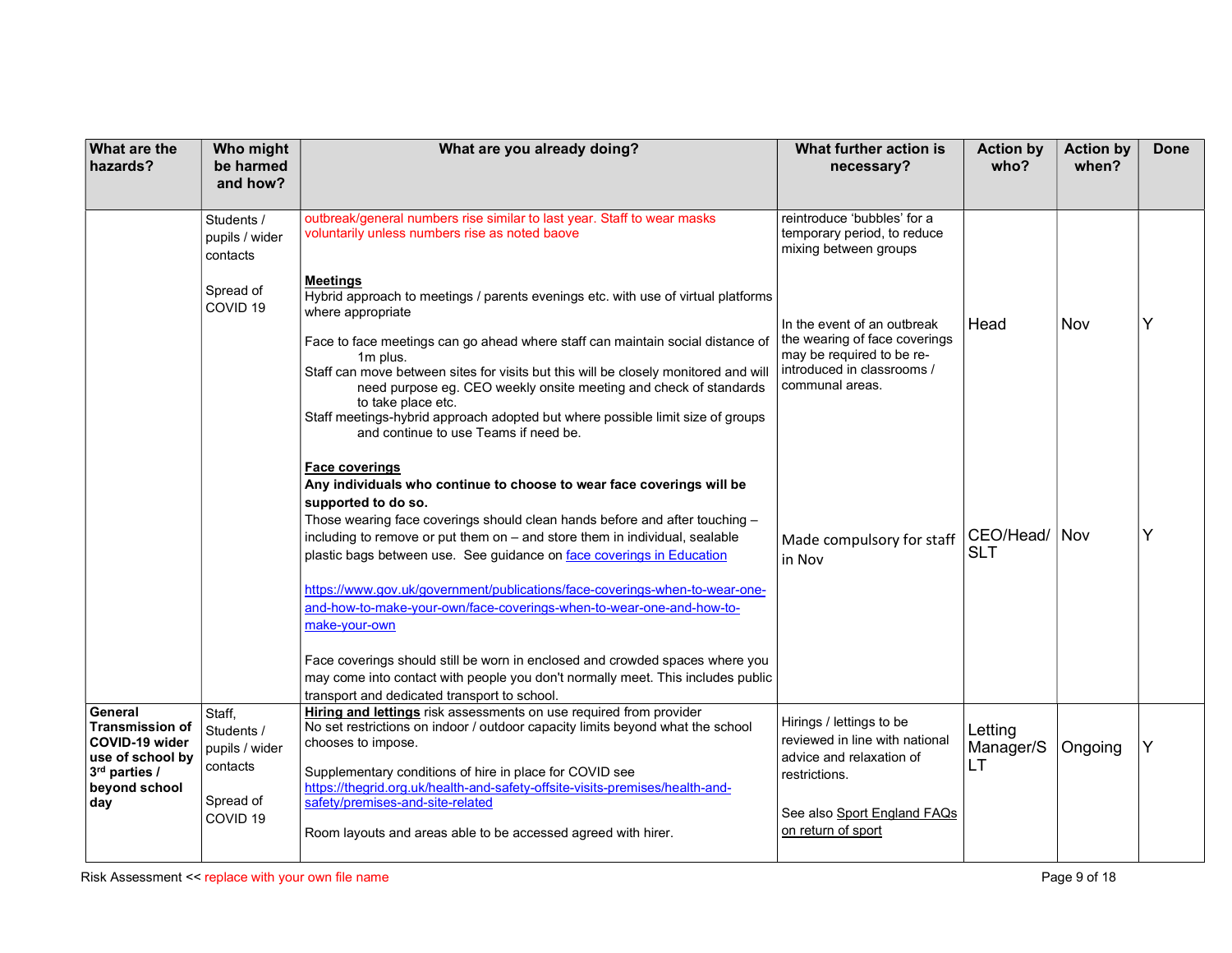| <b>What are the</b><br>hazards?                                                                           | Who might<br>be harmed<br>and how?                 | What are you already doing?                                                                                                                                                                                                                                                                                                                                                                                                                                                                                                          | What further action is<br>necessary?                                                                                                       | <b>Action by</b><br>who?   | <b>Action by</b><br>when? | <b>Done</b> |
|-----------------------------------------------------------------------------------------------------------|----------------------------------------------------|--------------------------------------------------------------------------------------------------------------------------------------------------------------------------------------------------------------------------------------------------------------------------------------------------------------------------------------------------------------------------------------------------------------------------------------------------------------------------------------------------------------------------------------|--------------------------------------------------------------------------------------------------------------------------------------------|----------------------------|---------------------------|-------------|
|                                                                                                           | Students /<br>pupils / wider<br>contacts           | outbreak/general numbers rise similar to last year. Staff to wear masks<br>voluntarily unless numbers rise as noted baove                                                                                                                                                                                                                                                                                                                                                                                                            | reintroduce 'bubbles' for a<br>temporary period, to reduce<br>mixing between groups                                                        |                            |                           |             |
|                                                                                                           | Spread of<br>COVID <sub>19</sub>                   | <b>Meetings</b><br>Hybrid approach to meetings / parents evenings etc. with use of virtual platforms<br>where appropriate<br>Face to face meetings can go ahead where staff can maintain social distance of<br>1m plus.<br>Staff can move between sites for visits but this will be closely monitored and will<br>need purpose eg. CEO weekly onsite meeting and check of standards<br>to take place etc.<br>Staff meetings-hybrid approach adopted but where possible limit size of groups<br>and continue to use Teams if need be. | In the event of an outbreak<br>the wearing of face coverings<br>may be required to be re-<br>introduced in classrooms /<br>communal areas. | Head                       | Nov                       | Y           |
|                                                                                                           |                                                    | <b>Face coverings</b><br>Any individuals who continue to choose to wear face coverings will be<br>supported to do so.<br>Those wearing face coverings should clean hands before and after touching -<br>including to remove or put them on - and store them in individual, sealable<br>plastic bags between use. See guidance on face coverings in Education<br>https://www.gov.uk/government/publications/face-coverings-when-to-wear-one-<br>and-how-to-make-your-own/face-coverings-when-to-wear-one-and-how-to-<br>make-your-own | Made compulsory for staff<br>in Nov                                                                                                        | CEO/Head/<br><b>SLT</b>    | Nov                       |             |
|                                                                                                           |                                                    | Face coverings should still be worn in enclosed and crowded spaces where you<br>may come into contact with people you don't normally meet. This includes public<br>transport and dedicated transport to school.                                                                                                                                                                                                                                                                                                                      |                                                                                                                                            |                            |                           |             |
| General<br><b>Transmission of</b><br>COVID-19 wider<br>use of school by<br>3rd parties /<br>beyond school | Staff,<br>Students /<br>pupils / wider<br>contacts | Hiring and lettings risk assessments on use required from provider<br>No set restrictions on indoor / outdoor capacity limits beyond what the school<br>chooses to impose.<br>Supplementary conditions of hire in place for COVID see<br>https://thegrid.org.uk/health-and-safety-offsite-visits-premises/health-and-                                                                                                                                                                                                                | Hirings / lettings to be<br>reviewed in line with national<br>advice and relaxation of<br>restrictions.                                    | Letting<br>Manager/S<br>LT | Ongoing                   |             |
| day                                                                                                       | Spread of<br>COVID <sub>19</sub>                   | safety/premises-and-site-related<br>Room layouts and areas able to be accessed agreed with hirer.                                                                                                                                                                                                                                                                                                                                                                                                                                    | See also Sport England FAQs<br>on return of sport                                                                                          |                            |                           |             |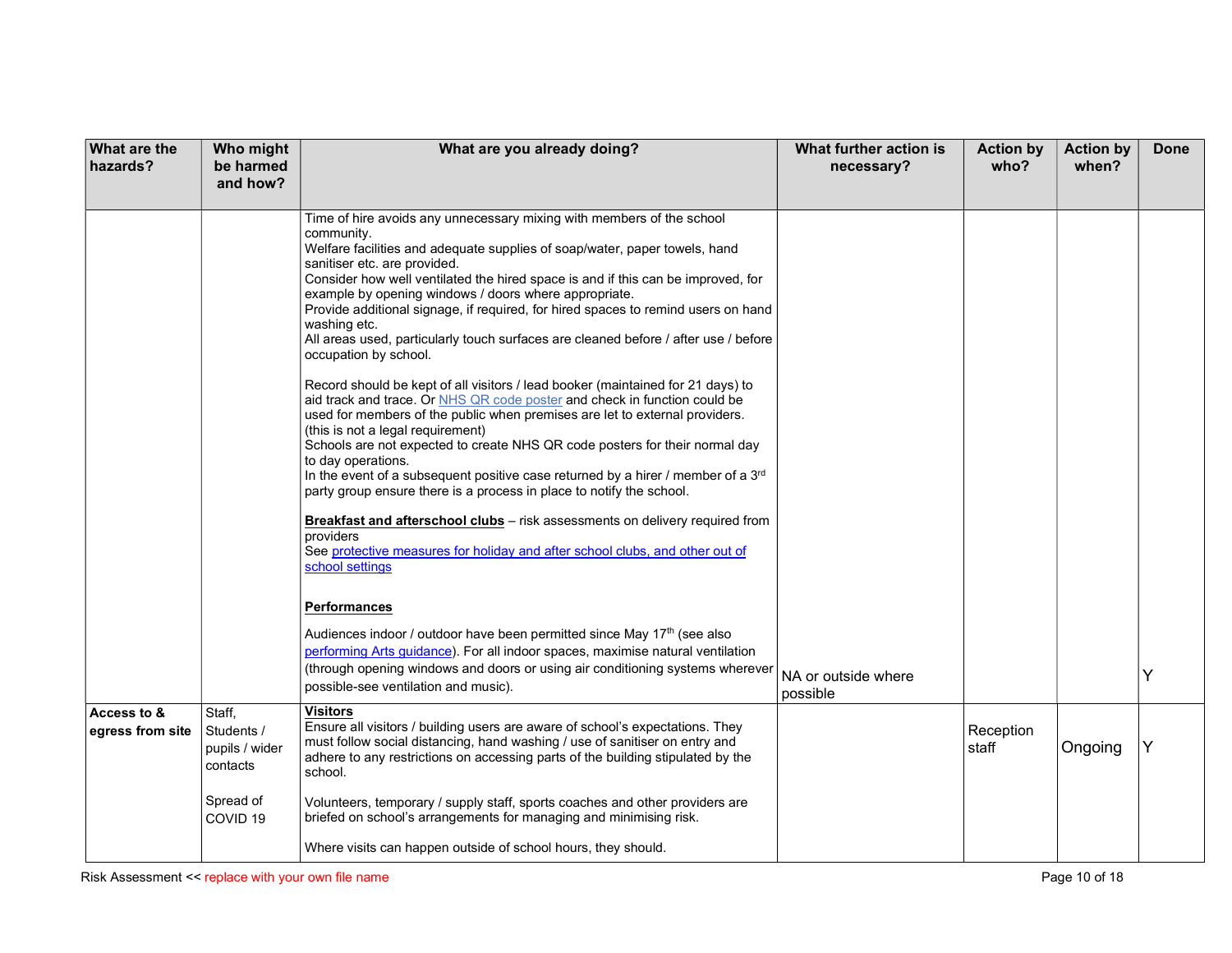| What are the<br>hazards?        | Who might<br>be harmed                             | What are you already doing?                                                                                                                                                                                                                                                                                                                                                                                                                                                                                                                                                                                                                                                                                                                                                                                                                                                                                                                                                                                                                                                                                                                                                                                                                                                                                                          | What further action is<br>necessary? | <b>Action by</b><br>who? | <b>Action by</b><br>when? | <b>Done</b> |
|---------------------------------|----------------------------------------------------|--------------------------------------------------------------------------------------------------------------------------------------------------------------------------------------------------------------------------------------------------------------------------------------------------------------------------------------------------------------------------------------------------------------------------------------------------------------------------------------------------------------------------------------------------------------------------------------------------------------------------------------------------------------------------------------------------------------------------------------------------------------------------------------------------------------------------------------------------------------------------------------------------------------------------------------------------------------------------------------------------------------------------------------------------------------------------------------------------------------------------------------------------------------------------------------------------------------------------------------------------------------------------------------------------------------------------------------|--------------------------------------|--------------------------|---------------------------|-------------|
|                                 | and how?                                           |                                                                                                                                                                                                                                                                                                                                                                                                                                                                                                                                                                                                                                                                                                                                                                                                                                                                                                                                                                                                                                                                                                                                                                                                                                                                                                                                      |                                      |                          |                           |             |
|                                 |                                                    | Time of hire avoids any unnecessary mixing with members of the school<br>community.<br>Welfare facilities and adequate supplies of soap/water, paper towels, hand<br>sanitiser etc. are provided.<br>Consider how well ventilated the hired space is and if this can be improved, for<br>example by opening windows / doors where appropriate.<br>Provide additional signage, if required, for hired spaces to remind users on hand<br>washing etc.<br>All areas used, particularly touch surfaces are cleaned before / after use / before<br>occupation by school.<br>Record should be kept of all visitors / lead booker (maintained for 21 days) to<br>aid track and trace. Or NHS QR code poster and check in function could be<br>used for members of the public when premises are let to external providers.<br>(this is not a legal requirement)<br>Schools are not expected to create NHS QR code posters for their normal day<br>to day operations.<br>In the event of a subsequent positive case returned by a hirer / member of a 3 <sup>rd</sup><br>party group ensure there is a process in place to notify the school.<br>Breakfast and afterschool clubs - risk assessments on delivery required from<br>providers<br>See protective measures for holiday and after school clubs, and other out of<br>school settings |                                      |                          |                           |             |
|                                 |                                                    | <b>Performances</b><br>Audiences indoor / outdoor have been permitted since May 17th (see also<br>performing Arts guidance). For all indoor spaces, maximise natural ventilation<br>(through opening windows and doors or using air conditioning systems wherever<br>possible-see ventilation and music).                                                                                                                                                                                                                                                                                                                                                                                                                                                                                                                                                                                                                                                                                                                                                                                                                                                                                                                                                                                                                            | NA or outside where<br>possible      |                          |                           | Y           |
| Access to &<br>egress from site | Staff,<br>Students /<br>pupils / wider<br>contacts | Visitors<br>Ensure all visitors / building users are aware of school's expectations. They<br>must follow social distancing, hand washing / use of sanitiser on entry and<br>adhere to any restrictions on accessing parts of the building stipulated by the<br>school.                                                                                                                                                                                                                                                                                                                                                                                                                                                                                                                                                                                                                                                                                                                                                                                                                                                                                                                                                                                                                                                               |                                      | Reception<br>staff       | Ongoing                   | Y           |
|                                 | Spread of<br>COVID <sub>19</sub>                   | Volunteers, temporary / supply staff, sports coaches and other providers are<br>briefed on school's arrangements for managing and minimising risk.                                                                                                                                                                                                                                                                                                                                                                                                                                                                                                                                                                                                                                                                                                                                                                                                                                                                                                                                                                                                                                                                                                                                                                                   |                                      |                          |                           |             |
|                                 |                                                    | Where visits can happen outside of school hours, they should.                                                                                                                                                                                                                                                                                                                                                                                                                                                                                                                                                                                                                                                                                                                                                                                                                                                                                                                                                                                                                                                                                                                                                                                                                                                                        |                                      |                          |                           |             |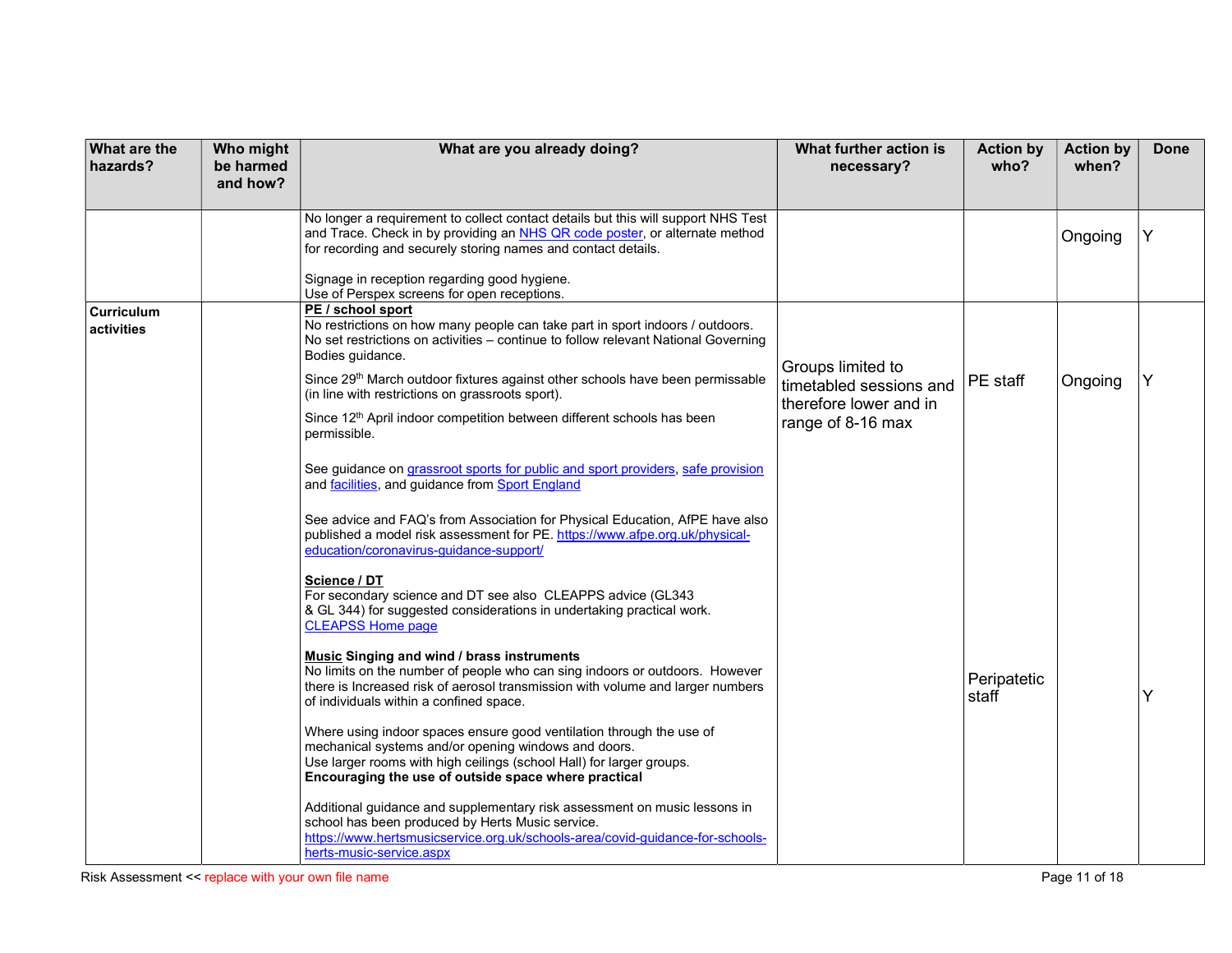| <b>What are the</b><br>hazards? | Who might<br>be harmed<br>and how? | What are you already doing?                                                                                                                                                                                                                                                                                                                                                                                                                                         | What further action is<br>necessary?                                                        | <b>Action by</b><br>who? | <b>Action by</b><br>when? | <b>Done</b> |
|---------------------------------|------------------------------------|---------------------------------------------------------------------------------------------------------------------------------------------------------------------------------------------------------------------------------------------------------------------------------------------------------------------------------------------------------------------------------------------------------------------------------------------------------------------|---------------------------------------------------------------------------------------------|--------------------------|---------------------------|-------------|
|                                 |                                    | No longer a requirement to collect contact details but this will support NHS Test<br>and Trace. Check in by providing an NHS QR code poster, or alternate method<br>for recording and securely storing names and contact details.                                                                                                                                                                                                                                   |                                                                                             |                          | Ongoing                   |             |
|                                 |                                    | Signage in reception regarding good hygiene.<br>Use of Perspex screens for open receptions.                                                                                                                                                                                                                                                                                                                                                                         |                                                                                             |                          |                           |             |
| Curriculum<br>activities        |                                    | PE / school sport<br>No restrictions on how many people can take part in sport indoors / outdoors.<br>No set restrictions on activities - continue to follow relevant National Governing<br>Bodies guidance.<br>Since 29 <sup>th</sup> March outdoor fixtures against other schools have been permissable<br>(in line with restrictions on grassroots sport).<br>Since 12 <sup>th</sup> April indoor competition between different schools has been<br>permissible. | Groups limited to<br>timetabled sessions and<br>therefore lower and in<br>range of 8-16 max | PE staff                 | Ongoing                   | Y           |
|                                 |                                    | See guidance on grassroot sports for public and sport providers, safe provision<br>and facilities, and guidance from Sport England<br>See advice and FAQ's from Association for Physical Education, AfPE have also<br>published a model risk assessment for PE. https://www.afpe.org.uk/physical-<br>education/coronavirus-guidance-support/                                                                                                                        |                                                                                             |                          |                           |             |
|                                 |                                    | Science / DT<br>For secondary science and DT see also CLEAPPS advice (GL343<br>& GL 344) for suggested considerations in undertaking practical work.<br><b>CLEAPSS Home page</b><br><b>Music Singing and wind / brass instruments</b>                                                                                                                                                                                                                               |                                                                                             |                          |                           |             |
|                                 |                                    | No limits on the number of people who can sing indoors or outdoors. However<br>there is Increased risk of aerosol transmission with volume and larger numbers<br>of individuals within a confined space.                                                                                                                                                                                                                                                            |                                                                                             | Peripatetic<br>staff     |                           |             |
|                                 |                                    | Where using indoor spaces ensure good ventilation through the use of<br>mechanical systems and/or opening windows and doors.<br>Use larger rooms with high ceilings (school Hall) for larger groups.<br>Encouraging the use of outside space where practical                                                                                                                                                                                                        |                                                                                             |                          |                           |             |
|                                 |                                    | Additional guidance and supplementary risk assessment on music lessons in<br>school has been produced by Herts Music service.<br>https://www.hertsmusicservice.org.uk/schools-area/covid-guidance-for-schools-<br>herts-music-service.aspx                                                                                                                                                                                                                          |                                                                                             |                          |                           |             |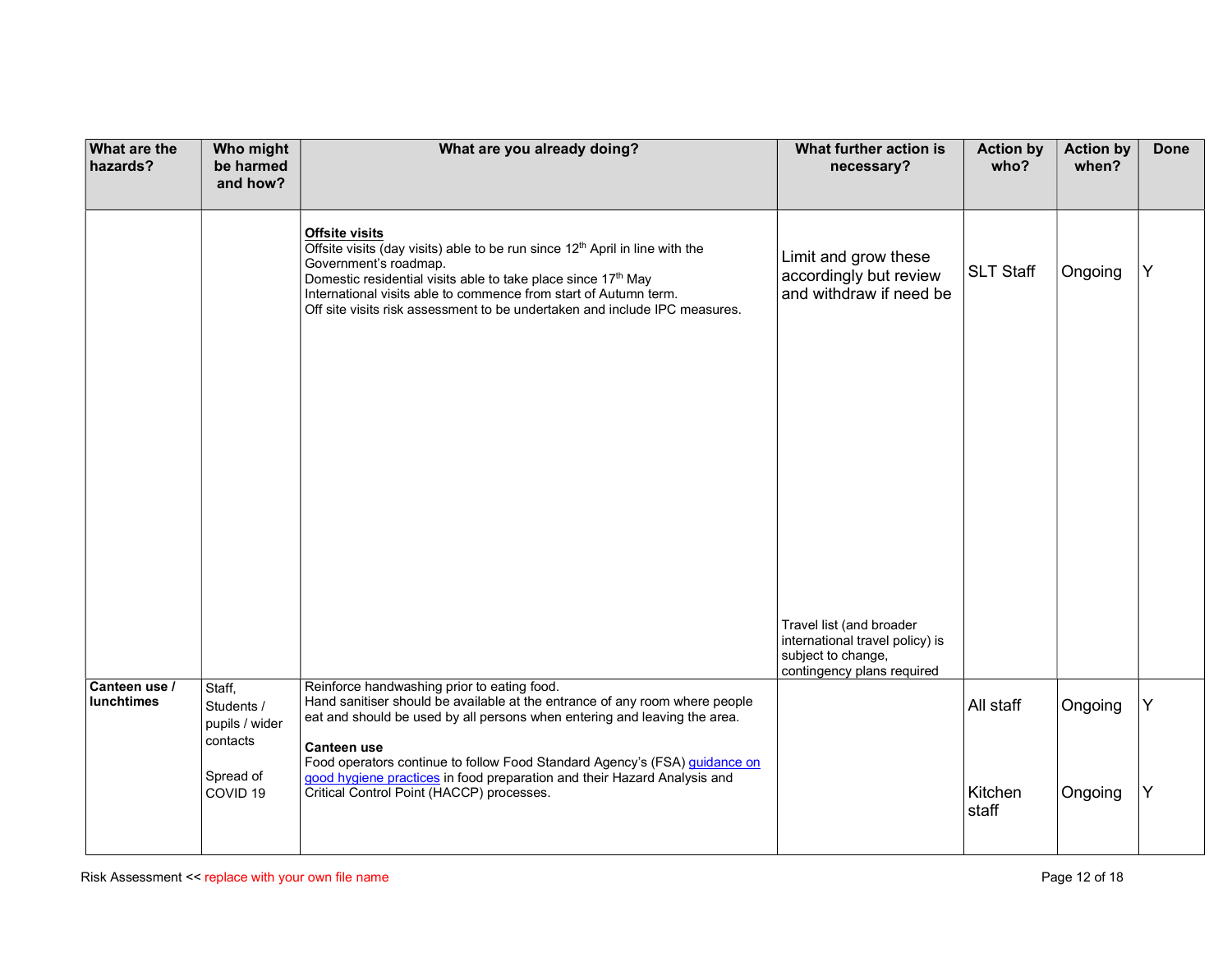| <b>What are the</b><br>hazards? | Who might<br>be harmed<br>and how?           | What are you already doing?                                                                                                                                                                                                                                                                                                                                   | What further action is<br>necessary?                                                                            | <b>Action by</b><br>who? | <b>Action by</b><br>when? | <b>Done</b> |
|---------------------------------|----------------------------------------------|---------------------------------------------------------------------------------------------------------------------------------------------------------------------------------------------------------------------------------------------------------------------------------------------------------------------------------------------------------------|-----------------------------------------------------------------------------------------------------------------|--------------------------|---------------------------|-------------|
|                                 |                                              | <b>Offsite visits</b><br>Offsite visits (day visits) able to be run since 12 <sup>th</sup> April in line with the<br>Government's roadmap.<br>Domestic residential visits able to take place since 17th May<br>International visits able to commence from start of Autumn term.<br>Off site visits risk assessment to be undertaken and include IPC measures. | Limit and grow these<br>accordingly but review<br>and withdraw if need be                                       | <b>SLT Staff</b>         | Ongoing                   | Y           |
| Canteen use /<br>lunchtimes     | Staff,<br>Students /<br>pupils / wider       | Reinforce handwashing prior to eating food.<br>Hand sanitiser should be available at the entrance of any room where people<br>eat and should be used by all persons when entering and leaving the area.                                                                                                                                                       | Travel list (and broader<br>international travel policy) is<br>subject to change,<br>contingency plans required | All staff                | Ongoing                   | Y           |
|                                 | contacts<br>Spread of<br>COVID <sub>19</sub> | <b>Canteen use</b><br>Food operators continue to follow Food Standard Agency's (FSA) guidance on<br>good hygiene practices in food preparation and their Hazard Analysis and<br>Critical Control Point (HACCP) processes.                                                                                                                                     |                                                                                                                 | Kitchen<br>staff         | Ongoing                   | Y           |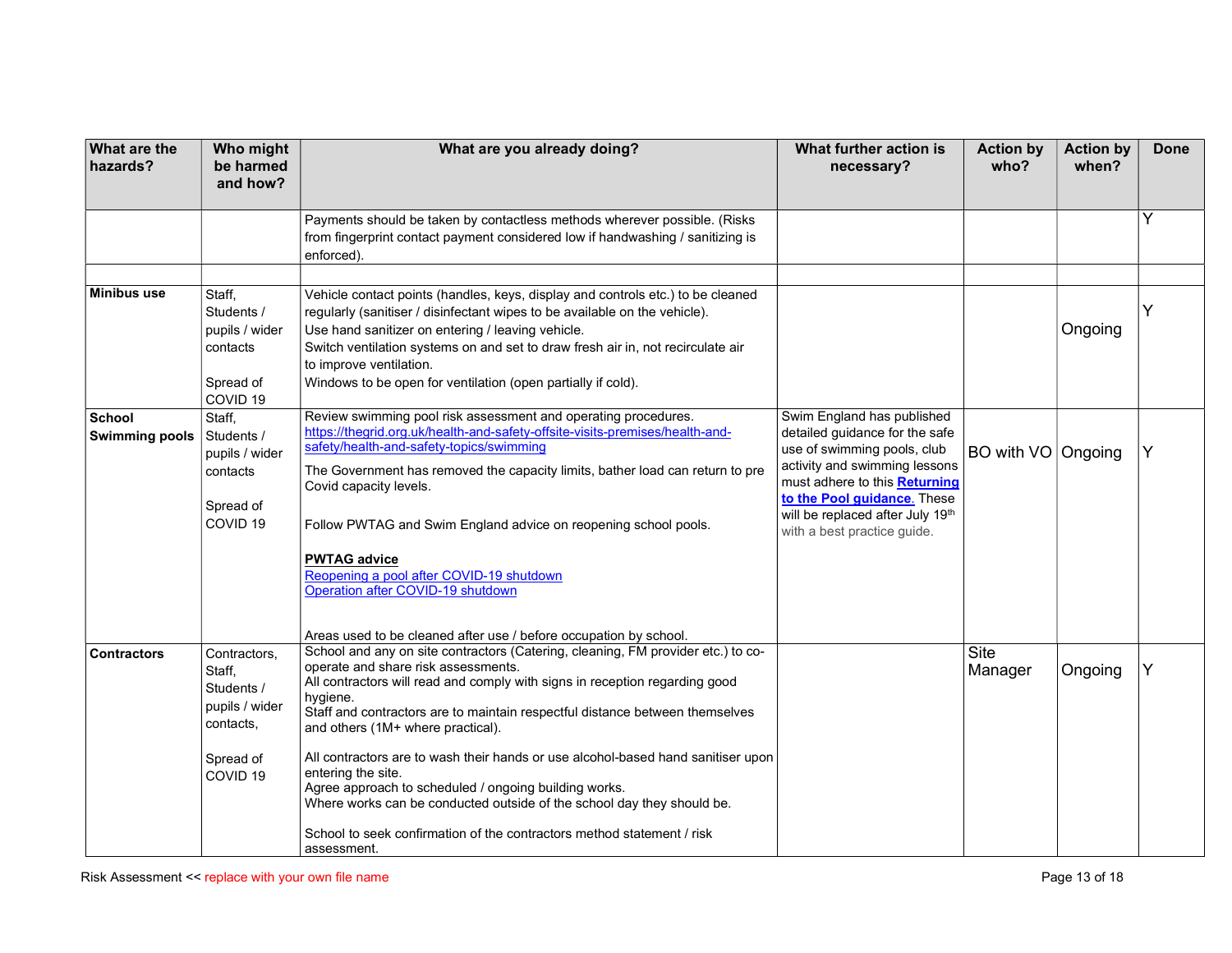| What are the<br>hazards?        | Who might<br>be harmed<br>and how?                                                                      | What are you already doing?                                                                                                                                                                                                                                                                                                                                                                                                                                                                                                                                                                                                                                                   | What further action is<br>necessary?                                                                                                                                                                                                                            | <b>Action by</b><br>who? | <b>Action by</b><br>when? | <b>Done</b> |
|---------------------------------|---------------------------------------------------------------------------------------------------------|-------------------------------------------------------------------------------------------------------------------------------------------------------------------------------------------------------------------------------------------------------------------------------------------------------------------------------------------------------------------------------------------------------------------------------------------------------------------------------------------------------------------------------------------------------------------------------------------------------------------------------------------------------------------------------|-----------------------------------------------------------------------------------------------------------------------------------------------------------------------------------------------------------------------------------------------------------------|--------------------------|---------------------------|-------------|
|                                 |                                                                                                         | Payments should be taken by contactless methods wherever possible. (Risks<br>from fingerprint contact payment considered low if handwashing / sanitizing is<br>enforced).                                                                                                                                                                                                                                                                                                                                                                                                                                                                                                     |                                                                                                                                                                                                                                                                 |                          |                           |             |
| Minibus use                     | Staff,<br>Students /<br>pupils / wider<br>contacts<br>Spread of<br>COVID <sub>19</sub>                  | Vehicle contact points (handles, keys, display and controls etc.) to be cleaned<br>regularly (sanitiser / disinfectant wipes to be available on the vehicle).<br>Use hand sanitizer on entering / leaving vehicle.<br>Switch ventilation systems on and set to draw fresh air in, not recirculate air<br>to improve ventilation.<br>Windows to be open for ventilation (open partially if cold).                                                                                                                                                                                                                                                                              |                                                                                                                                                                                                                                                                 |                          | Ongoing                   | Y           |
| School<br><b>Swimming pools</b> | Staff,<br>Students /<br>pupils / wider<br>contacts<br>Spread of<br>COVID <sub>19</sub>                  | Review swimming pool risk assessment and operating procedures.<br>https://thegrid.org.uk/health-and-safety-offsite-visits-premises/health-and-<br>safety/health-and-safety-topics/swimming<br>The Government has removed the capacity limits, bather load can return to pre<br>Covid capacity levels.<br>Follow PWTAG and Swim England advice on reopening school pools.<br><b>PWTAG advice</b><br>Reopening a pool after COVID-19 shutdown<br>Operation after COVID-19 shutdown<br>Areas used to be cleaned after use / before occupation by school.                                                                                                                         | Swim England has published<br>detailed guidance for the safe<br>use of swimming pools, club<br>activity and swimming lessons<br>must adhere to this Returning<br>to the Pool guidance. These<br>will be replaced after July 19th<br>with a best practice guide. | BO with VO Ongoing       |                           | Y           |
| <b>Contractors</b>              | Contractors,<br>Staff,<br>Students /<br>pupils / wider<br>contacts,<br>Spread of<br>COVID <sub>19</sub> | School and any on site contractors (Catering, cleaning, FM provider etc.) to co-<br>operate and share risk assessments.<br>All contractors will read and comply with signs in reception regarding good<br>hygiene.<br>Staff and contractors are to maintain respectful distance between themselves<br>and others (1M+ where practical).<br>All contractors are to wash their hands or use alcohol-based hand sanitiser upon<br>entering the site.<br>Agree approach to scheduled / ongoing building works.<br>Where works can be conducted outside of the school day they should be.<br>School to seek confirmation of the contractors method statement / risk<br>assessment. |                                                                                                                                                                                                                                                                 | Site<br>Manager          | Ongoing                   |             |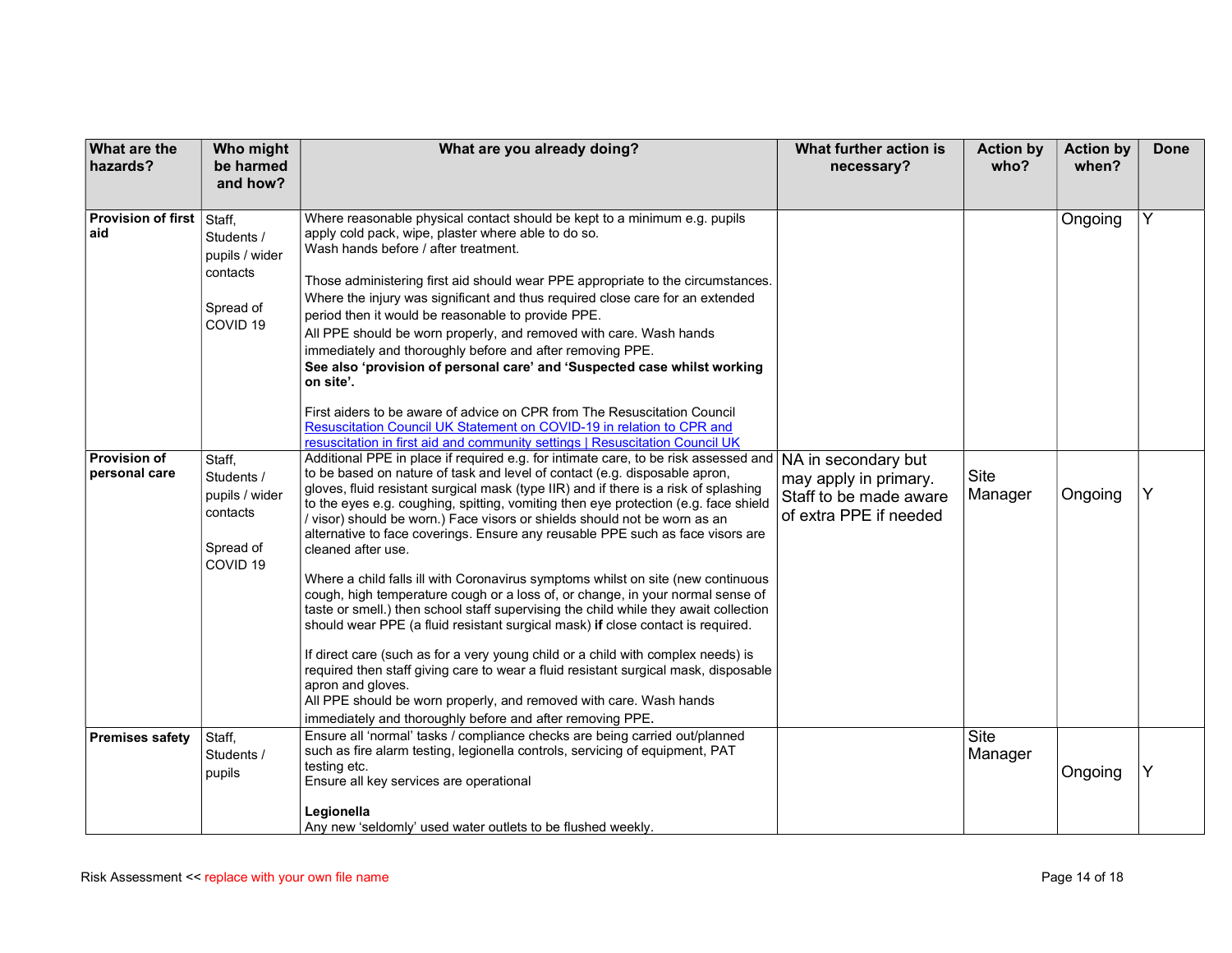| <b>What are the</b><br>hazards?      | Who might<br>be harmed                                                                   | What are you already doing?                                                                                                                                                                                                                                                                                                                                                                                                                                                                                                                                                                                                                                                                                                                                                                                                                                                                                                                                                                                                                                                                                                                                                                                                                                                                               | What further action is<br>necessary?                                                             | <b>Action by</b><br>who? | <b>Action by</b><br>when? | <b>Done</b> |
|--------------------------------------|------------------------------------------------------------------------------------------|-----------------------------------------------------------------------------------------------------------------------------------------------------------------------------------------------------------------------------------------------------------------------------------------------------------------------------------------------------------------------------------------------------------------------------------------------------------------------------------------------------------------------------------------------------------------------------------------------------------------------------------------------------------------------------------------------------------------------------------------------------------------------------------------------------------------------------------------------------------------------------------------------------------------------------------------------------------------------------------------------------------------------------------------------------------------------------------------------------------------------------------------------------------------------------------------------------------------------------------------------------------------------------------------------------------|--------------------------------------------------------------------------------------------------|--------------------------|---------------------------|-------------|
| Provision of first Staff,<br>aid     | and how?<br>Students /<br>pupils / wider<br>contacts<br>Spread of<br>COVID <sub>19</sub> | Where reasonable physical contact should be kept to a minimum e.g. pupils<br>apply cold pack, wipe, plaster where able to do so.<br>Wash hands before / after treatment.<br>Those administering first aid should wear PPE appropriate to the circumstances.<br>Where the injury was significant and thus required close care for an extended<br>period then it would be reasonable to provide PPE.<br>All PPE should be worn properly, and removed with care. Wash hands<br>immediately and thoroughly before and after removing PPE.<br>See also 'provision of personal care' and 'Suspected case whilst working<br>on site'.<br>First aiders to be aware of advice on CPR from The Resuscitation Council<br>Resuscitation Council UK Statement on COVID-19 in relation to CPR and                                                                                                                                                                                                                                                                                                                                                                                                                                                                                                                       |                                                                                                  |                          | Ongoing                   | Y           |
| <b>Provision of</b><br>personal care | Staff,<br>Students /<br>pupils / wider<br>contacts<br>Spread of<br>COVID <sub>19</sub>   | resuscitation in first aid and community settings   Resuscitation Council UK<br>Additional PPE in place if required e.g. for intimate care, to be risk assessed and<br>to be based on nature of task and level of contact (e.g. disposable apron,<br>gloves, fluid resistant surgical mask (type IIR) and if there is a risk of splashing<br>to the eyes e.g. coughing, spitting, vomiting then eye protection (e.g. face shield<br>/ visor) should be worn.) Face visors or shields should not be worn as an<br>alternative to face coverings. Ensure any reusable PPE such as face visors are<br>cleaned after use.<br>Where a child falls ill with Coronavirus symptoms whilst on site (new continuous<br>cough, high temperature cough or a loss of, or change, in your normal sense of<br>taste or smell.) then school staff supervising the child while they await collection<br>should wear PPE (a fluid resistant surgical mask) if close contact is required.<br>If direct care (such as for a very young child or a child with complex needs) is<br>required then staff giving care to wear a fluid resistant surgical mask, disposable<br>apron and gloves.<br>All PPE should be worn properly, and removed with care. Wash hands<br>immediately and thoroughly before and after removing PPE. | NA in secondary but<br>may apply in primary.<br>Staff to be made aware<br>of extra PPE if needed | <b>Site</b><br>Manager   | Ongoing                   | Y           |
| <b>Premises safety</b>               | Staff,<br>Students /<br>pupils                                                           | Ensure all 'normal' tasks / compliance checks are being carried out/planned<br>such as fire alarm testing, legionella controls, servicing of equipment, PAT<br>testing etc.<br>Ensure all key services are operational<br>Legionella<br>Any new 'seldomly' used water outlets to be flushed weekly.                                                                                                                                                                                                                                                                                                                                                                                                                                                                                                                                                                                                                                                                                                                                                                                                                                                                                                                                                                                                       |                                                                                                  | Site<br>Manager          | Ongoing                   | Y           |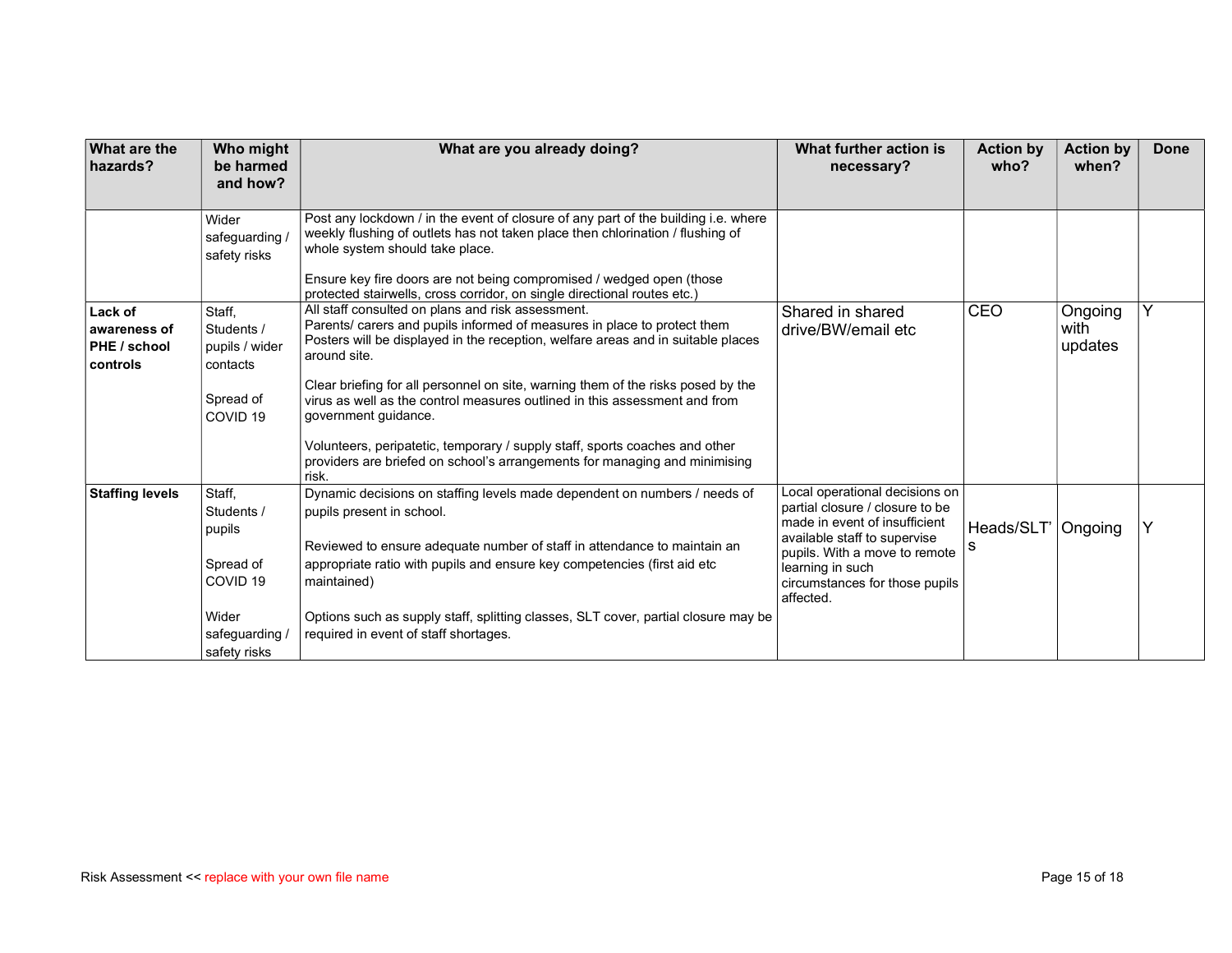| <b>What are the</b><br>hazards?                     | Who might<br>be harmed<br>and how?                                 | What are you already doing?                                                                                                                                                                                                                                                                                   | What further action is<br>necessary?                                                                                                                                                                                                   | <b>Action by</b><br>who? | <b>Action by</b><br>when?  | <b>Done</b> |
|-----------------------------------------------------|--------------------------------------------------------------------|---------------------------------------------------------------------------------------------------------------------------------------------------------------------------------------------------------------------------------------------------------------------------------------------------------------|----------------------------------------------------------------------------------------------------------------------------------------------------------------------------------------------------------------------------------------|--------------------------|----------------------------|-------------|
|                                                     | Wider<br>safeguarding /<br>safety risks                            | Post any lockdown / in the event of closure of any part of the building i.e. where<br>weekly flushing of outlets has not taken place then chlorination / flushing of<br>whole system should take place.<br>Ensure key fire doors are not being compromised / wedged open (those                               |                                                                                                                                                                                                                                        |                          |                            |             |
| Lack of<br>awareness of<br>PHE / school<br>controls | Staff,<br>Students /<br>pupils / wider<br>contacts                 | protected stairwells, cross corridor, on single directional routes etc.)<br>All staff consulted on plans and risk assessment.<br>Parents/ carers and pupils informed of measures in place to protect them<br>Posters will be displayed in the reception, welfare areas and in suitable places<br>around site. | Shared in shared<br>drive/BW/email etc                                                                                                                                                                                                 | CEO                      | Ongoing<br>with<br>updates | Y           |
|                                                     | Spread of<br>COVID <sub>19</sub>                                   | Clear briefing for all personnel on site, warning them of the risks posed by the<br>virus as well as the control measures outlined in this assessment and from<br>government guidance.                                                                                                                        |                                                                                                                                                                                                                                        |                          |                            |             |
|                                                     |                                                                    | Volunteers, peripatetic, temporary / supply staff, sports coaches and other<br>providers are briefed on school's arrangements for managing and minimising<br>risk.                                                                                                                                            |                                                                                                                                                                                                                                        |                          |                            |             |
| <b>Staffing levels</b>                              | Staff,<br>Students /<br>pupils<br>Spread of<br>COVID <sub>19</sub> | Dynamic decisions on staffing levels made dependent on numbers / needs of<br>pupils present in school.<br>Reviewed to ensure adequate number of staff in attendance to maintain an<br>appropriate ratio with pupils and ensure key competencies (first aid etc<br>maintained)                                 | Local operational decisions on<br>partial closure / closure to be<br>made in event of insufficient<br>available staff to supervise<br>pupils. With a move to remote<br>learning in such<br>circumstances for those pupils<br>affected. | Heads/SLT'   Ongoing     |                            |             |
|                                                     | Wider<br>safeguarding /<br>safety risks                            | Options such as supply staff, splitting classes, SLT cover, partial closure may be<br>required in event of staff shortages.                                                                                                                                                                                   |                                                                                                                                                                                                                                        |                          |                            |             |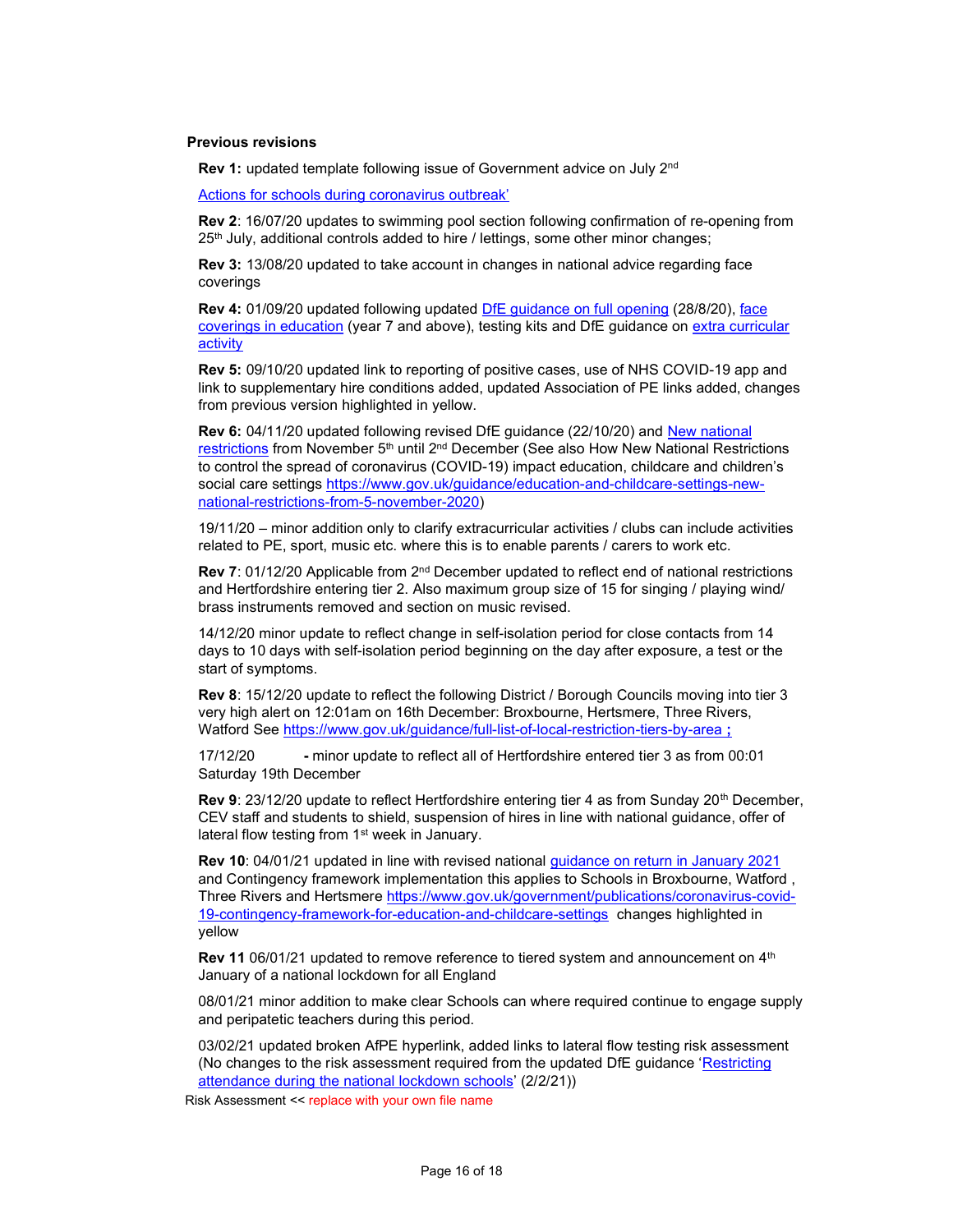### Previous revisions

Rev 1: updated template following issue of Government advice on July 2<sup>nd</sup>

Actions for schools during coronavirus outbreak'

Rev 2: 16/07/20 updates to swimming pool section following confirmation of re-opening from  $25<sup>th</sup>$  July, additional controls added to hire / lettings, some other minor changes;

Rev 3: 13/08/20 updated to take account in changes in national advice regarding face coverings

Rev 4: 01/09/20 updated following updated DfE guidance on full opening (28/8/20), face coverings in education (year 7 and above), testing kits and DfE guidance on extra curricular activity

Rev 5: 09/10/20 updated link to reporting of positive cases, use of NHS COVID-19 app and link to supplementary hire conditions added, updated Association of PE links added, changes from previous version highlighted in yellow.

Rev 6: 04/11/20 updated following revised DfE guidance (22/10/20) and New national restrictions from November 5<sup>th</sup> until 2<sup>nd</sup> December (See also How New National Restrictions to control the spread of coronavirus (COVID-19) impact education, childcare and children's social care settings https://www.gov.uk/guidance/education-and-childcare-settings-newnational-restrictions-from-5-november-2020)

19/11/20 – minor addition only to clarify extracurricular activities / clubs can include activities related to PE, sport, music etc. where this is to enable parents / carers to work etc.

Rev 7: 01/12/20 Applicable from 2<sup>nd</sup> December updated to reflect end of national restrictions and Hertfordshire entering tier 2. Also maximum group size of 15 for singing / playing wind/ brass instruments removed and section on music revised.

14/12/20 minor update to reflect change in self-isolation period for close contacts from 14 days to 10 days with self-isolation period beginning on the day after exposure, a test or the start of symptoms.

Rev 8: 15/12/20 update to reflect the following District / Borough Councils moving into tier 3 very high alert on 12:01am on 16th December: Broxbourne, Hertsmere, Three Rivers, Watford See https://www.gov.uk/guidance/full-list-of-local-restriction-tiers-by-area ;

17/12/20 - minor update to reflect all of Hertfordshire entered tier 3 as from 00:01 Saturday 19th December

Rev 9: 23/12/20 update to reflect Hertfordshire entering tier 4 as from Sunday 20<sup>th</sup> December, CEV staff and students to shield, suspension of hires in line with national guidance, offer of lateral flow testing from 1<sup>st</sup> week in January.

Rev 10: 04/01/21 updated in line with revised national guidance on return in January 2021 and Contingency framework implementation this applies to Schools in Broxbourne, Watford , Three Rivers and Hertsmere https://www.gov.uk/government/publications/coronavirus-covid-19-contingency-framework-for-education-and-childcare-settings changes highlighted in yellow

Rev 11 06/01/21 updated to remove reference to tiered system and announcement on 4<sup>th</sup> January of a national lockdown for all England

08/01/21 minor addition to make clear Schools can where required continue to engage supply and peripatetic teachers during this period.

03/02/21 updated broken AfPE hyperlink, added links to lateral flow testing risk assessment (No changes to the risk assessment required from the updated DfE guidance 'Restricting attendance during the national lockdown schools' (2/2/21))

Risk Assessment << replace with your own file name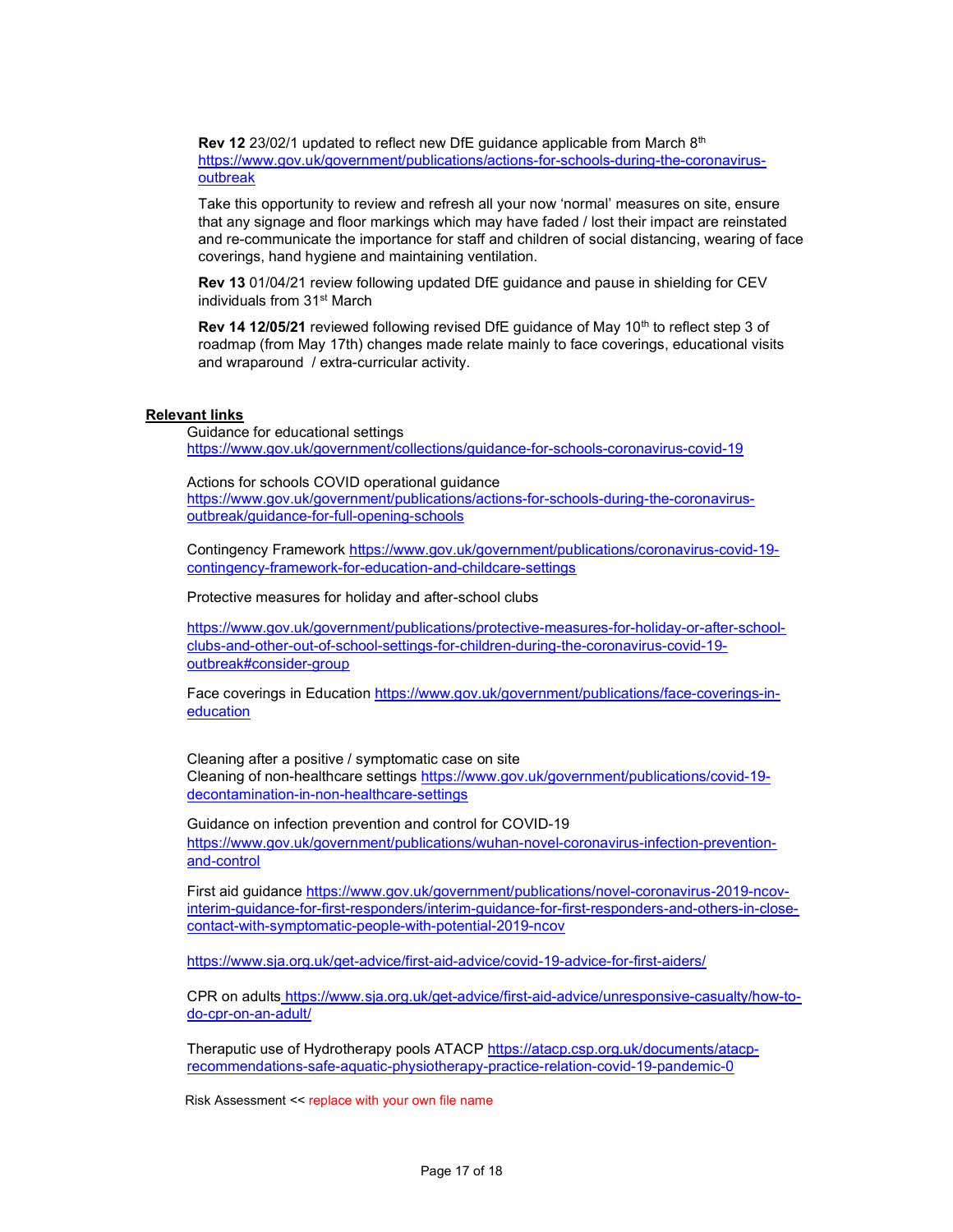**Rev 12** 23/02/1 updated to reflect new DfE guidance applicable from March  $8<sup>th</sup>$ https://www.gov.uk/government/publications/actions-for-schools-during-the-coronavirusoutbreak

Take this opportunity to review and refresh all your now 'normal' measures on site, ensure that any signage and floor markings which may have faded / lost their impact are reinstated and re-communicate the importance for staff and children of social distancing, wearing of face coverings, hand hygiene and maintaining ventilation.

Rev 13 01/04/21 review following updated DfE guidance and pause in shielding for CEV individuals from 31st March

Rev 14 12/05/21 reviewed following revised DfE guidance of May 10<sup>th</sup> to reflect step 3 of roadmap (from May 17th) changes made relate mainly to face coverings, educational visits and wraparound / extra-curricular activity.

## Relevant links

Guidance for educational settings https://www.gov.uk/government/collections/guidance-for-schools-coronavirus-covid-19

Actions for schools COVID operational guidance https://www.gov.uk/government/publications/actions-for-schools-during-the-coronavirusoutbreak/guidance-for-full-opening-schools

Contingency Framework https://www.gov.uk/government/publications/coronavirus-covid-19 contingency-framework-for-education-and-childcare-settings

Protective measures for holiday and after-school clubs

https://www.gov.uk/government/publications/protective-measures-for-holiday-or-after-schoolclubs-and-other-out-of-school-settings-for-children-during-the-coronavirus-covid-19 outbreak#consider-group

Face coverings in Education https://www.gov.uk/government/publications/face-coverings-ineducation

Cleaning after a positive / symptomatic case on site Cleaning of non-healthcare settings https://www.gov.uk/government/publications/covid-19 decontamination-in-non-healthcare-settings

Guidance on infection prevention and control for COVID-19 https://www.gov.uk/government/publications/wuhan-novel-coronavirus-infection-preventionand-control

First aid guidance https://www.gov.uk/government/publications/novel-coronavirus-2019-ncovinterim-guidance-for-first-responders/interim-guidance-for-first-responders-and-others-in-closecontact-with-symptomatic-people-with-potential-2019-ncov

https://www.sja.org.uk/get-advice/first-aid-advice/covid-19-advice-for-first-aiders/

CPR on adults https://www.sja.org.uk/get-advice/first-aid-advice/unresponsive-casualty/how-todo-cpr-on-an-adult/

Theraputic use of Hydrotherapy pools ATACP https://atacp.csp.org.uk/documents/atacprecommendations-safe-aquatic-physiotherapy-practice-relation-covid-19-pandemic-0

Risk Assessment << replace with your own file name